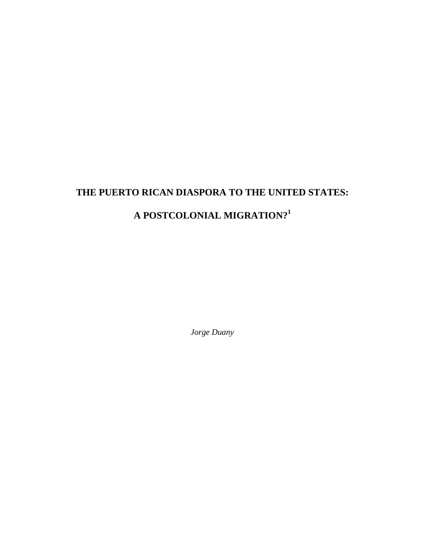# **THE PUERTO RICAN DIASPORA TO THE UNITED STATES: A POSTCOLONIAL MIGRATION?<sup>1</sup>**

*Jorge Duany*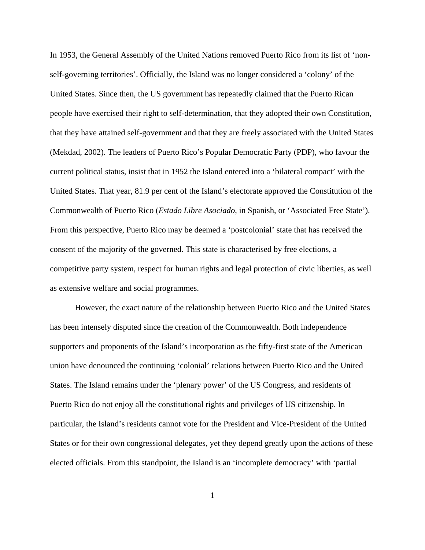In 1953, the General Assembly of the United Nations removed Puerto Rico from its list of 'nonself-governing territories'. Officially, the Island was no longer considered a 'colony' of the United States. Since then, the US government has repeatedly claimed that the Puerto Rican people have exercised their right to self-determination, that they adopted their own Constitution, that they have attained self-government and that they are freely associated with the United States (Mekdad, 2002). The leaders of Puerto Rico's Popular Democratic Party (PDP), who favour the current political status, insist that in 1952 the Island entered into a 'bilateral compact' with the United States. That year, 81.9 per cent of the Island's electorate approved the Constitution of the Commonwealth of Puerto Rico (*Estado Libre Asociado*, in Spanish, or 'Associated Free State'). From this perspective, Puerto Rico may be deemed a 'postcolonial' state that has received the consent of the majority of the governed. This state is characterised by free elections, a competitive party system, respect for human rights and legal protection of civic liberties, as well as extensive welfare and social programmes.

However, the exact nature of the relationship between Puerto Rico and the United States has been intensely disputed since the creation of the Commonwealth. Both independence supporters and proponents of the Island's incorporation as the fifty-first state of the American union have denounced the continuing 'colonial' relations between Puerto Rico and the United States. The Island remains under the 'plenary power' of the US Congress, and residents of Puerto Rico do not enjoy all the constitutional rights and privileges of US citizenship. In particular, the Island's residents cannot vote for the President and Vice-President of the United States or for their own congressional delegates, yet they depend greatly upon the actions of these elected officials. From this standpoint, the Island is an 'incomplete democracy' with 'partial

1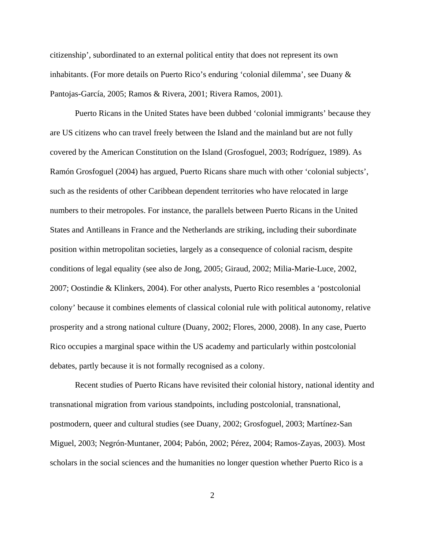citizenship', subordinated to an external political entity that does not represent its own inhabitants. (For more details on Puerto Rico's enduring 'colonial dilemma', see Duany & Pantojas-García, 2005; Ramos & Rivera, 2001; Rivera Ramos, 2001).

Puerto Ricans in the United States have been dubbed 'colonial immigrants' because they are US citizens who can travel freely between the Island and the mainland but are not fully covered by the American Constitution on the Island (Grosfoguel, 2003; Rodríguez, 1989). As Ramón Grosfoguel (2004) has argued, Puerto Ricans share much with other 'colonial subjects', such as the residents of other Caribbean dependent territories who have relocated in large numbers to their metropoles. For instance, the parallels between Puerto Ricans in the United States and Antilleans in France and the Netherlands are striking, including their subordinate position within metropolitan societies, largely as a consequence of colonial racism, despite conditions of legal equality (see also de Jong, 2005; Giraud, 2002; Milia-Marie-Luce, 2002, 2007; Oostindie & Klinkers, 2004). For other analysts, Puerto Rico resembles a 'postcolonial colony' because it combines elements of classical colonial rule with political autonomy, relative prosperity and a strong national culture (Duany, 2002; Flores, 2000, 2008). In any case, Puerto Rico occupies a marginal space within the US academy and particularly within postcolonial debates, partly because it is not formally recognised as a colony.

Recent studies of Puerto Ricans have revisited their colonial history, national identity and transnational migration from various standpoints, including postcolonial, transnational, postmodern, queer and cultural studies (see Duany, 2002; Grosfoguel, 2003; Martínez-San Miguel, 2003; Negrón-Muntaner, 2004; Pabón, 2002; Pérez, 2004; Ramos-Zayas, 2003). Most scholars in the social sciences and the humanities no longer question whether Puerto Rico is a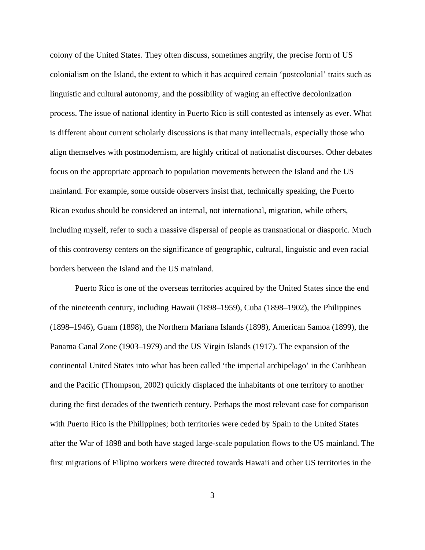colony of the United States. They often discuss, sometimes angrily, the precise form of US colonialism on the Island, the extent to which it has acquired certain 'postcolonial' traits such as linguistic and cultural autonomy, and the possibility of waging an effective decolonization process. The issue of national identity in Puerto Rico is still contested as intensely as ever. What is different about current scholarly discussions is that many intellectuals, especially those who align themselves with postmodernism, are highly critical of nationalist discourses. Other debates focus on the appropriate approach to population movements between the Island and the US mainland. For example, some outside observers insist that, technically speaking, the Puerto Rican exodus should be considered an internal, not international, migration, while others, including myself, refer to such a massive dispersal of people as transnational or diasporic. Much of this controversy centers on the significance of geographic, cultural, linguistic and even racial borders between the Island and the US mainland.

Puerto Rico is one of the overseas territories acquired by the United States since the end of the nineteenth century, including Hawaii (1898–1959), Cuba (1898–1902), the Philippines (1898–1946), Guam (1898), the Northern Mariana Islands (1898), American Samoa (1899), the Panama Canal Zone (1903–1979) and the US Virgin Islands (1917). The expansion of the continental United States into what has been called 'the imperial archipelago' in the Caribbean and the Pacific (Thompson, 2002) quickly displaced the inhabitants of one territory to another during the first decades of the twentieth century. Perhaps the most relevant case for comparison with Puerto Rico is the Philippines; both territories were ceded by Spain to the United States after the War of 1898 and both have staged large-scale population flows to the US mainland. The first migrations of Filipino workers were directed towards Hawaii and other US territories in the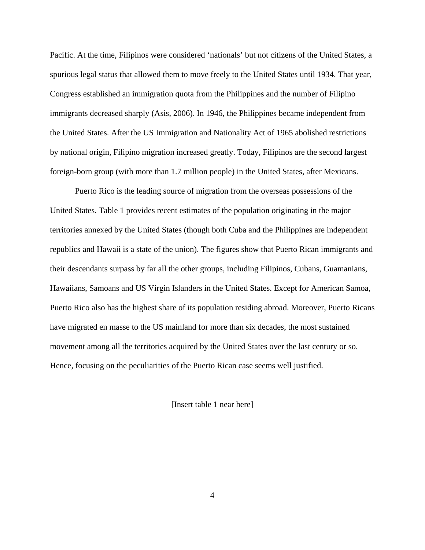Pacific. At the time, Filipinos were considered 'nationals' but not citizens of the United States, a spurious legal status that allowed them to move freely to the United States until 1934. That year, Congress established an immigration quota from the Philippines and the number of Filipino immigrants decreased sharply (Asis, 2006). In 1946, the Philippines became independent from the United States. After the US Immigration and Nationality Act of 1965 abolished restrictions by national origin, Filipino migration increased greatly. Today, Filipinos are the second largest foreign-born group (with more than 1.7 million people) in the United States, after Mexicans.

Puerto Rico is the leading source of migration from the overseas possessions of the United States. Table 1 provides recent estimates of the population originating in the major territories annexed by the United States (though both Cuba and the Philippines are independent republics and Hawaii is a state of the union). The figures show that Puerto Rican immigrants and their descendants surpass by far all the other groups, including Filipinos, Cubans, Guamanians, Hawaiians, Samoans and US Virgin Islanders in the United States. Except for American Samoa, Puerto Rico also has the highest share of its population residing abroad. Moreover, Puerto Ricans have migrated en masse to the US mainland for more than six decades, the most sustained movement among all the territories acquired by the United States over the last century or so. Hence, focusing on the peculiarities of the Puerto Rican case seems well justified.

[Insert table 1 near here]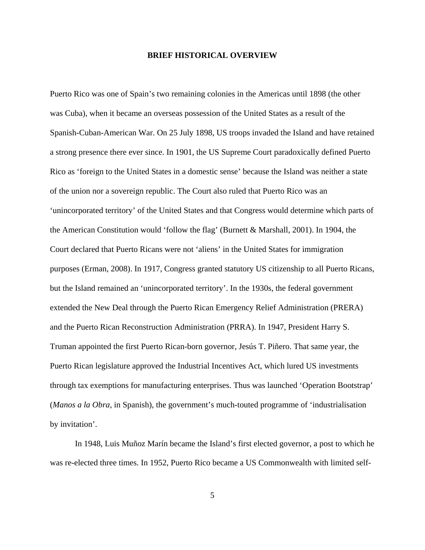#### **BRIEF HISTORICAL OVERVIEW**

Puerto Rico was one of Spain's two remaining colonies in the Americas until 1898 (the other was Cuba), when it became an overseas possession of the United States as a result of the Spanish-Cuban-American War. On 25 July 1898, US troops invaded the Island and have retained a strong presence there ever since. In 1901, the US Supreme Court paradoxically defined Puerto Rico as 'foreign to the United States in a domestic sense' because the Island was neither a state of the union nor a sovereign republic. The Court also ruled that Puerto Rico was an 'unincorporated territory' of the United States and that Congress would determine which parts of the American Constitution would 'follow the flag' (Burnett & Marshall, 2001). In 1904, the Court declared that Puerto Ricans were not 'aliens' in the United States for immigration purposes (Erman, 2008). In 1917, Congress granted statutory US citizenship to all Puerto Ricans, but the Island remained an 'unincorporated territory'. In the 1930s, the federal government extended the New Deal through the Puerto Rican Emergency Relief Administration (PRERA) and the Puerto Rican Reconstruction Administration (PRRA). In 1947, President Harry S. Truman appointed the first Puerto Rican-born governor, Jesús T. Piñero. That same year, the Puerto Rican legislature approved the Industrial Incentives Act, which lured US investments through tax exemptions for manufacturing enterprises. Thus was launched 'Operation Bootstrap' (*Manos a la Obra*, in Spanish), the government's much-touted programme of 'industrialisation by invitation'.

 In 1948, Luis Muñoz Marín became the Island's first elected governor, a post to which he was re-elected three times. In 1952, Puerto Rico became a US Commonwealth with limited self-

5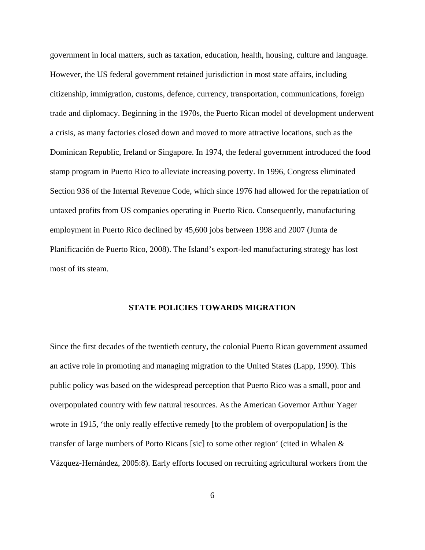government in local matters, such as taxation, education, health, housing, culture and language. However, the US federal government retained jurisdiction in most state affairs, including citizenship, immigration, customs, defence, currency, transportation, communications, foreign trade and diplomacy. Beginning in the 1970s, the Puerto Rican model of development underwent a crisis, as many factories closed down and moved to more attractive locations, such as the Dominican Republic, Ireland or Singapore. In 1974, the federal government introduced the food stamp program in Puerto Rico to alleviate increasing poverty. In 1996, Congress eliminated Section 936 of the Internal Revenue Code, which since 1976 had allowed for the repatriation of untaxed profits from US companies operating in Puerto Rico. Consequently, manufacturing employment in Puerto Rico declined by 45,600 jobs between 1998 and 2007 (Junta de Planificación de Puerto Rico, 2008). The Island's export-led manufacturing strategy has lost most of its steam.

#### **STATE POLICIES TOWARDS MIGRATION**

Since the first decades of the twentieth century, the colonial Puerto Rican government assumed an active role in promoting and managing migration to the United States (Lapp, 1990). This public policy was based on the widespread perception that Puerto Rico was a small, poor and overpopulated country with few natural resources. As the American Governor Arthur Yager wrote in 1915, 'the only really effective remedy [to the problem of overpopulation] is the transfer of large numbers of Porto Ricans [sic] to some other region' (cited in Whalen & Vázquez-Hernández, 2005:8). Early efforts focused on recruiting agricultural workers from the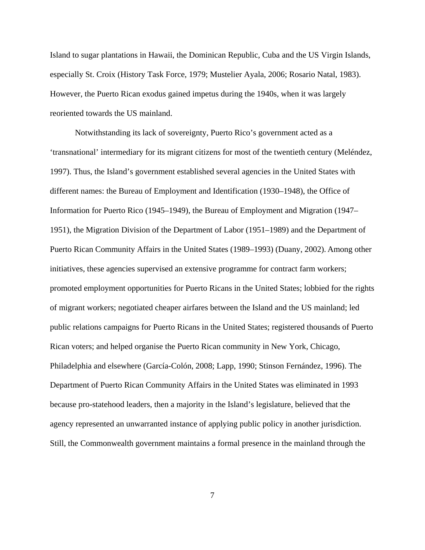Island to sugar plantations in Hawaii, the Dominican Republic, Cuba and the US Virgin Islands, especially St. Croix (History Task Force, 1979; Mustelier Ayala, 2006; Rosario Natal, 1983). However, the Puerto Rican exodus gained impetus during the 1940s, when it was largely reoriented towards the US mainland.

Notwithstanding its lack of sovereignty, Puerto Rico's government acted as a 'transnational' intermediary for its migrant citizens for most of the twentieth century (Meléndez, 1997). Thus, the Island's government established several agencies in the United States with different names: the Bureau of Employment and Identification (1930–1948), the Office of Information for Puerto Rico (1945–1949), the Bureau of Employment and Migration (1947– 1951), the Migration Division of the Department of Labor (1951–1989) and the Department of Puerto Rican Community Affairs in the United States (1989–1993) (Duany, 2002). Among other initiatives, these agencies supervised an extensive programme for contract farm workers; promoted employment opportunities for Puerto Ricans in the United States; lobbied for the rights of migrant workers; negotiated cheaper airfares between the Island and the US mainland; led public relations campaigns for Puerto Ricans in the United States; registered thousands of Puerto Rican voters; and helped organise the Puerto Rican community in New York, Chicago, Philadelphia and elsewhere (García-Colón, 2008; Lapp, 1990; Stinson Fernández, 1996). The Department of Puerto Rican Community Affairs in the United States was eliminated in 1993 because pro-statehood leaders, then a majority in the Island's legislature, believed that the agency represented an unwarranted instance of applying public policy in another jurisdiction. Still, the Commonwealth government maintains a formal presence in the mainland through the

7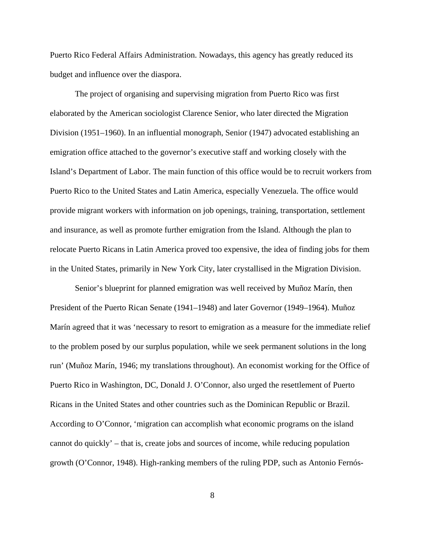Puerto Rico Federal Affairs Administration. Nowadays, this agency has greatly reduced its budget and influence over the diaspora.

 The project of organising and supervising migration from Puerto Rico was first elaborated by the American sociologist Clarence Senior, who later directed the Migration Division (1951–1960). In an influential monograph, Senior (1947) advocated establishing an emigration office attached to the governor's executive staff and working closely with the Island's Department of Labor. The main function of this office would be to recruit workers from Puerto Rico to the United States and Latin America, especially Venezuela. The office would provide migrant workers with information on job openings, training, transportation, settlement and insurance, as well as promote further emigration from the Island. Although the plan to relocate Puerto Ricans in Latin America proved too expensive, the idea of finding jobs for them in the United States, primarily in New York City, later crystallised in the Migration Division.

 Senior's blueprint for planned emigration was well received by Muñoz Marín, then President of the Puerto Rican Senate (1941–1948) and later Governor (1949–1964). Muñoz Marín agreed that it was 'necessary to resort to emigration as a measure for the immediate relief to the problem posed by our surplus population, while we seek permanent solutions in the long run' (Muñoz Marín, 1946; my translations throughout). An economist working for the Office of Puerto Rico in Washington, DC, Donald J. O'Connor, also urged the resettlement of Puerto Ricans in the United States and other countries such as the Dominican Republic or Brazil. According to O'Connor, 'migration can accomplish what economic programs on the island cannot do quickly' – that is, create jobs and sources of income, while reducing population growth (O'Connor, 1948). High-ranking members of the ruling PDP, such as Antonio Fernós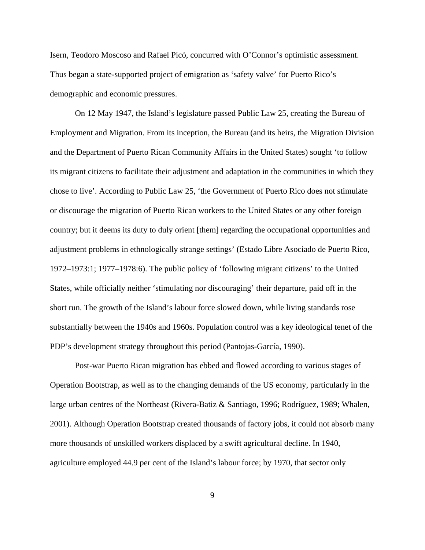Isern, Teodoro Moscoso and Rafael Picó, concurred with O'Connor's optimistic assessment. Thus began a state-supported project of emigration as 'safety valve' for Puerto Rico's demographic and economic pressures.

 On 12 May 1947, the Island's legislature passed Public Law 25, creating the Bureau of Employment and Migration. From its inception, the Bureau (and its heirs, the Migration Division and the Department of Puerto Rican Community Affairs in the United States) sought 'to follow its migrant citizens to facilitate their adjustment and adaptation in the communities in which they chose to live'. According to Public Law 25, 'the Government of Puerto Rico does not stimulate or discourage the migration of Puerto Rican workers to the United States or any other foreign country; but it deems its duty to duly orient [them] regarding the occupational opportunities and adjustment problems in ethnologically strange settings' (Estado Libre Asociado de Puerto Rico, 1972–1973:1; 1977–1978:6). The public policy of 'following migrant citizens' to the United States, while officially neither 'stimulating nor discouraging' their departure, paid off in the short run. The growth of the Island's labour force slowed down, while living standards rose substantially between the 1940s and 1960s. Population control was a key ideological tenet of the PDP's development strategy throughout this period (Pantojas-García, 1990).

 Post-war Puerto Rican migration has ebbed and flowed according to various stages of Operation Bootstrap, as well as to the changing demands of the US economy, particularly in the large urban centres of the Northeast (Rivera-Batiz & Santiago, 1996; Rodríguez, 1989; Whalen, 2001). Although Operation Bootstrap created thousands of factory jobs, it could not absorb many more thousands of unskilled workers displaced by a swift agricultural decline. In 1940, agriculture employed 44.9 per cent of the Island's labour force; by 1970, that sector only

9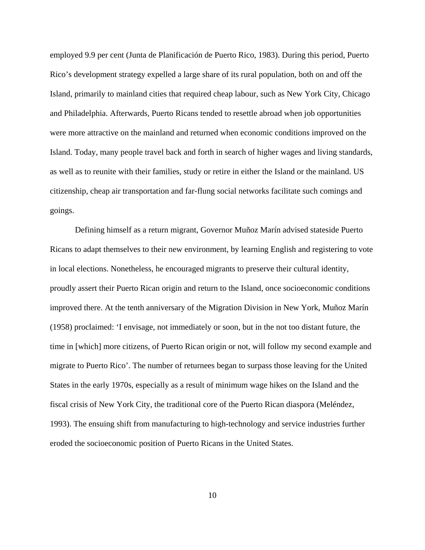employed 9.9 per cent (Junta de Planificación de Puerto Rico, 1983). During this period, Puerto Rico's development strategy expelled a large share of its rural population, both on and off the Island, primarily to mainland cities that required cheap labour, such as New York City, Chicago and Philadelphia. Afterwards, Puerto Ricans tended to resettle abroad when job opportunities were more attractive on the mainland and returned when economic conditions improved on the Island. Today, many people travel back and forth in search of higher wages and living standards, as well as to reunite with their families, study or retire in either the Island or the mainland. US citizenship, cheap air transportation and far-flung social networks facilitate such comings and goings.

 Defining himself as a return migrant, Governor Muñoz Marín advised stateside Puerto Ricans to adapt themselves to their new environment, by learning English and registering to vote in local elections. Nonetheless, he encouraged migrants to preserve their cultural identity, proudly assert their Puerto Rican origin and return to the Island, once socioeconomic conditions improved there. At the tenth anniversary of the Migration Division in New York, Muñoz Marín (1958) proclaimed: 'I envisage, not immediately or soon, but in the not too distant future, the time in [which] more citizens, of Puerto Rican origin or not, will follow my second example and migrate to Puerto Rico'. The number of returnees began to surpass those leaving for the United States in the early 1970s, especially as a result of minimum wage hikes on the Island and the fiscal crisis of New York City, the traditional core of the Puerto Rican diaspora (Meléndez, 1993). The ensuing shift from manufacturing to high-technology and service industries further eroded the socioeconomic position of Puerto Ricans in the United States.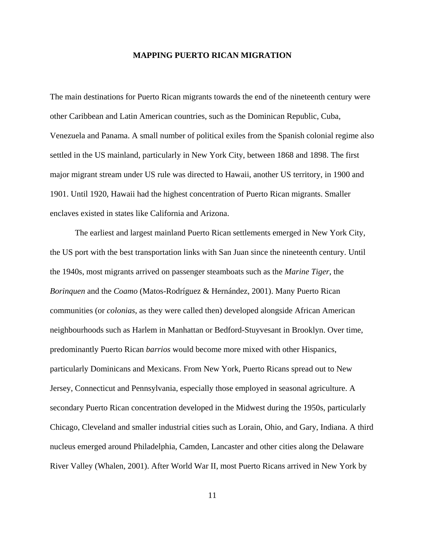#### **MAPPING PUERTO RICAN MIGRATION**

The main destinations for Puerto Rican migrants towards the end of the nineteenth century were other Caribbean and Latin American countries, such as the Dominican Republic, Cuba, Venezuela and Panama. A small number of political exiles from the Spanish colonial regime also settled in the US mainland, particularly in New York City, between 1868 and 1898. The first major migrant stream under US rule was directed to Hawaii, another US territory, in 1900 and 1901. Until 1920, Hawaii had the highest concentration of Puerto Rican migrants. Smaller enclaves existed in states like California and Arizona.

 The earliest and largest mainland Puerto Rican settlements emerged in New York City, the US port with the best transportation links with San Juan since the nineteenth century. Until the 1940s, most migrants arrived on passenger steamboats such as the *Marine Tiger*, the *Borinquen* and the *Coamo* (Matos-Rodríguez & Hernández, 2001). Many Puerto Rican communities (or *colonias*, as they were called then) developed alongside African American neighbourhoods such as Harlem in Manhattan or Bedford-Stuyvesant in Brooklyn. Over time, predominantly Puerto Rican *barrios* would become more mixed with other Hispanics, particularly Dominicans and Mexicans. From New York, Puerto Ricans spread out to New Jersey, Connecticut and Pennsylvania, especially those employed in seasonal agriculture. A secondary Puerto Rican concentration developed in the Midwest during the 1950s, particularly Chicago, Cleveland and smaller industrial cities such as Lorain, Ohio, and Gary, Indiana. A third nucleus emerged around Philadelphia, Camden, Lancaster and other cities along the Delaware River Valley (Whalen, 2001). After World War II, most Puerto Ricans arrived in New York by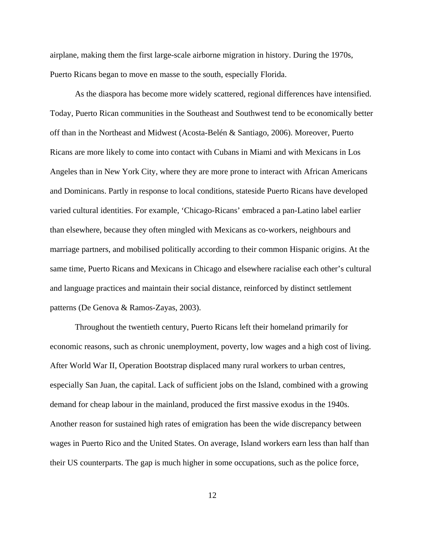airplane, making them the first large-scale airborne migration in history. During the 1970s, Puerto Ricans began to move en masse to the south, especially Florida.

 As the diaspora has become more widely scattered, regional differences have intensified. Today, Puerto Rican communities in the Southeast and Southwest tend to be economically better off than in the Northeast and Midwest (Acosta-Belén & Santiago, 2006). Moreover, Puerto Ricans are more likely to come into contact with Cubans in Miami and with Mexicans in Los Angeles than in New York City, where they are more prone to interact with African Americans and Dominicans. Partly in response to local conditions, stateside Puerto Ricans have developed varied cultural identities. For example, 'Chicago-Ricans' embraced a pan-Latino label earlier than elsewhere, because they often mingled with Mexicans as co-workers, neighbours and marriage partners, and mobilised politically according to their common Hispanic origins. At the same time, Puerto Ricans and Mexicans in Chicago and elsewhere racialise each other's cultural and language practices and maintain their social distance, reinforced by distinct settlement patterns (De Genova & Ramos-Zayas, 2003).

 Throughout the twentieth century, Puerto Ricans left their homeland primarily for economic reasons, such as chronic unemployment, poverty, low wages and a high cost of living. After World War II, Operation Bootstrap displaced many rural workers to urban centres, especially San Juan, the capital. Lack of sufficient jobs on the Island, combined with a growing demand for cheap labour in the mainland, produced the first massive exodus in the 1940s. Another reason for sustained high rates of emigration has been the wide discrepancy between wages in Puerto Rico and the United States. On average, Island workers earn less than half than their US counterparts. The gap is much higher in some occupations, such as the police force,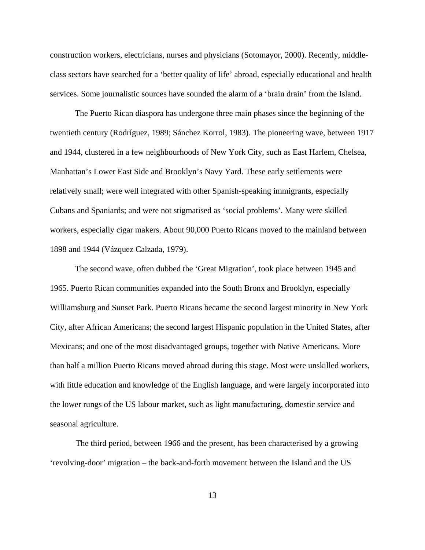construction workers, electricians, nurses and physicians (Sotomayor, 2000). Recently, middleclass sectors have searched for a 'better quality of life' abroad, especially educational and health services. Some journalistic sources have sounded the alarm of a 'brain drain' from the Island.

The Puerto Rican diaspora has undergone three main phases since the beginning of the twentieth century (Rodríguez, 1989; Sánchez Korrol, 1983). The pioneering wave, between 1917 and 1944, clustered in a few neighbourhoods of New York City, such as East Harlem, Chelsea, Manhattan's Lower East Side and Brooklyn's Navy Yard. These early settlements were relatively small; were well integrated with other Spanish-speaking immigrants, especially Cubans and Spaniards; and were not stigmatised as 'social problems'. Many were skilled workers, especially cigar makers. About 90,000 Puerto Ricans moved to the mainland between 1898 and 1944 (Vázquez Calzada, 1979).

 The second wave, often dubbed the 'Great Migration', took place between 1945 and 1965. Puerto Rican communities expanded into the South Bronx and Brooklyn, especially Williamsburg and Sunset Park. Puerto Ricans became the second largest minority in New York City, after African Americans; the second largest Hispanic population in the United States, after Mexicans; and one of the most disadvantaged groups, together with Native Americans. More than half a million Puerto Ricans moved abroad during this stage. Most were unskilled workers, with little education and knowledge of the English language, and were largely incorporated into the lower rungs of the US labour market, such as light manufacturing, domestic service and seasonal agriculture.

 The third period, between 1966 and the present, has been characterised by a growing 'revolving-door' migration – the back-and-forth movement between the Island and the US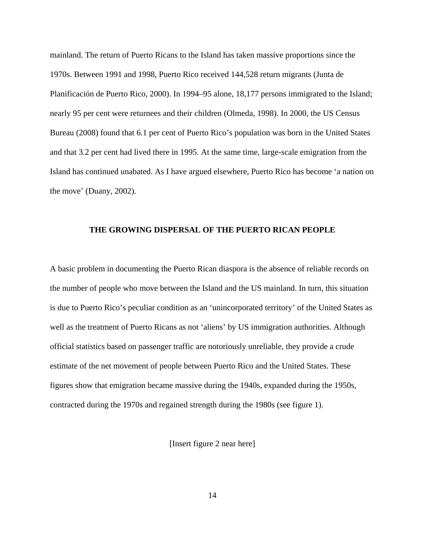mainland. The return of Puerto Ricans to the Island has taken massive proportions since the 1970s. Between 1991 and 1998, Puerto Rico received 144,528 return migrants (Junta de Planificación de Puerto Rico, 2000). In 1994–95 alone, 18,177 persons immigrated to the Island; nearly 95 per cent were returnees and their children (Olmeda, 1998). In 2000, the US Census Bureau (2008) found that 6.1 per cent of Puerto Rico's population was born in the United States and that 3.2 per cent had lived there in 1995. At the same time, large-scale emigration from the Island has continued unabated. As I have argued elsewhere, Puerto Rico has become 'a nation on the move' (Duany, 2002).

#### **THE GROWING DISPERSAL OF THE PUERTO RICAN PEOPLE**

A basic problem in documenting the Puerto Rican diaspora is the absence of reliable records on the number of people who move between the Island and the US mainland. In turn, this situation is due to Puerto Rico's peculiar condition as an 'unincorporated territory' of the United States as well as the treatment of Puerto Ricans as not 'aliens' by US immigration authorities. Although official statistics based on passenger traffic are notoriously unreliable, they provide a crude estimate of the net movement of people between Puerto Rico and the United States. These figures show that emigration became massive during the 1940s, expanded during the 1950s, contracted during the 1970s and regained strength during the 1980s (see figure 1).

[Insert figure 2 near here]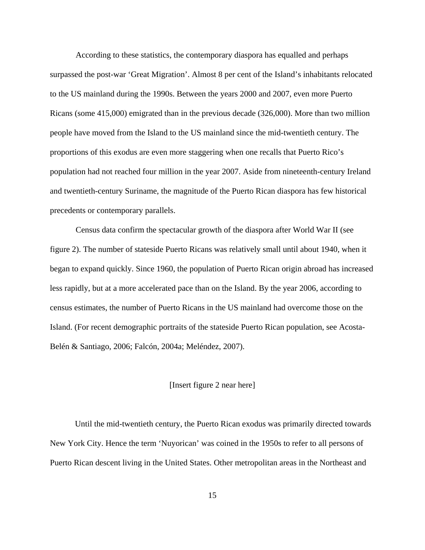According to these statistics, the contemporary diaspora has equalled and perhaps surpassed the post-war 'Great Migration'. Almost 8 per cent of the Island's inhabitants relocated to the US mainland during the 1990s. Between the years 2000 and 2007, even more Puerto Ricans (some 415,000) emigrated than in the previous decade (326,000). More than two million people have moved from the Island to the US mainland since the mid-twentieth century. The proportions of this exodus are even more staggering when one recalls that Puerto Rico's population had not reached four million in the year 2007. Aside from nineteenth-century Ireland and twentieth-century Suriname, the magnitude of the Puerto Rican diaspora has few historical precedents or contemporary parallels.

 Census data confirm the spectacular growth of the diaspora after World War II (see figure 2). The number of stateside Puerto Ricans was relatively small until about 1940, when it began to expand quickly. Since 1960, the population of Puerto Rican origin abroad has increased less rapidly, but at a more accelerated pace than on the Island. By the year 2006, according to census estimates, the number of Puerto Ricans in the US mainland had overcome those on the Island. (For recent demographic portraits of the stateside Puerto Rican population, see Acosta-Belén & Santiago, 2006; Falcón, 2004a; Meléndez, 2007).

#### [Insert figure 2 near here]

 Until the mid-twentieth century, the Puerto Rican exodus was primarily directed towards New York City. Hence the term 'Nuyorican' was coined in the 1950s to refer to all persons of Puerto Rican descent living in the United States. Other metropolitan areas in the Northeast and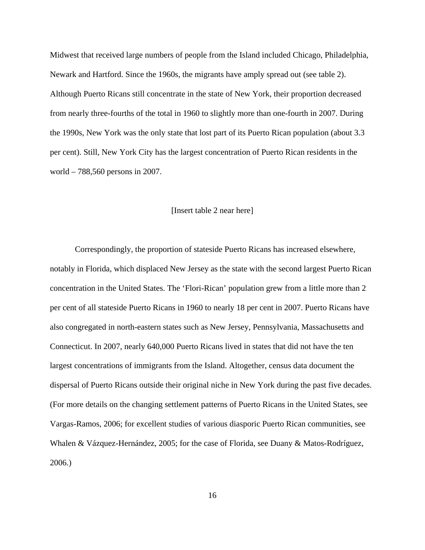Midwest that received large numbers of people from the Island included Chicago, Philadelphia, Newark and Hartford. Since the 1960s, the migrants have amply spread out (see table 2). Although Puerto Ricans still concentrate in the state of New York, their proportion decreased from nearly three-fourths of the total in 1960 to slightly more than one-fourth in 2007. During the 1990s, New York was the only state that lost part of its Puerto Rican population (about 3.3 per cent). Still, New York City has the largest concentration of Puerto Rican residents in the world – 788,560 persons in 2007.

#### [Insert table 2 near here]

 Correspondingly, the proportion of stateside Puerto Ricans has increased elsewhere, notably in Florida, which displaced New Jersey as the state with the second largest Puerto Rican concentration in the United States. The 'Flori-Rican' population grew from a little more than 2 per cent of all stateside Puerto Ricans in 1960 to nearly 18 per cent in 2007. Puerto Ricans have also congregated in north-eastern states such as New Jersey, Pennsylvania, Massachusetts and Connecticut. In 2007, nearly 640,000 Puerto Ricans lived in states that did not have the ten largest concentrations of immigrants from the Island. Altogether, census data document the dispersal of Puerto Ricans outside their original niche in New York during the past five decades. (For more details on the changing settlement patterns of Puerto Ricans in the United States, see Vargas-Ramos, 2006; for excellent studies of various diasporic Puerto Rican communities, see Whalen & Vázquez-Hernández, 2005; for the case of Florida, see Duany & Matos-Rodríguez, 2006.)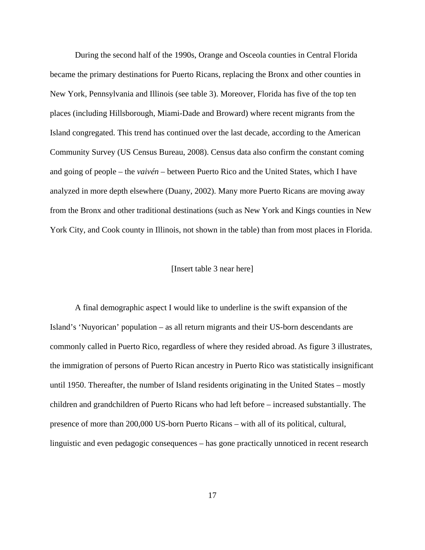During the second half of the 1990s, Orange and Osceola counties in Central Florida became the primary destinations for Puerto Ricans, replacing the Bronx and other counties in New York, Pennsylvania and Illinois (see table 3). Moreover, Florida has five of the top ten places (including Hillsborough, Miami-Dade and Broward) where recent migrants from the Island congregated. This trend has continued over the last decade, according to the American Community Survey (US Census Bureau, 2008). Census data also confirm the constant coming and going of people – the *vaivén* – between Puerto Rico and the United States, which I have analyzed in more depth elsewhere (Duany, 2002). Many more Puerto Ricans are moving away from the Bronx and other traditional destinations (such as New York and Kings counties in New York City, and Cook county in Illinois, not shown in the table) than from most places in Florida.

#### [Insert table 3 near here]

 A final demographic aspect I would like to underline is the swift expansion of the Island's 'Nuyorican' population – as all return migrants and their US-born descendants are commonly called in Puerto Rico, regardless of where they resided abroad. As figure 3 illustrates, the immigration of persons of Puerto Rican ancestry in Puerto Rico was statistically insignificant until 1950. Thereafter, the number of Island residents originating in the United States – mostly children and grandchildren of Puerto Ricans who had left before – increased substantially. The presence of more than 200,000 US-born Puerto Ricans – with all of its political, cultural, linguistic and even pedagogic consequences – has gone practically unnoticed in recent research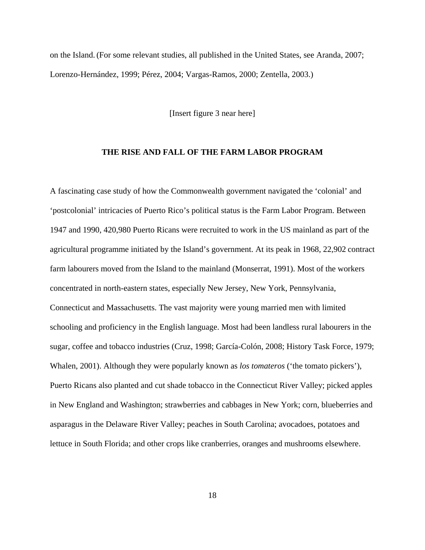on the Island.(For some relevant studies, all published in the United States, see Aranda, 2007; Lorenzo-Hernández, 1999; Pérez, 2004; Vargas-Ramos, 2000; Zentella, 2003.)

[Insert figure 3 near here]

#### **THE RISE AND FALL OF THE FARM LABOR PROGRAM**

A fascinating case study of how the Commonwealth government navigated the 'colonial' and 'postcolonial' intricacies of Puerto Rico's political status is the Farm Labor Program. Between 1947 and 1990, 420,980 Puerto Ricans were recruited to work in the US mainland as part of the agricultural programme initiated by the Island's government. At its peak in 1968, 22,902 contract farm labourers moved from the Island to the mainland (Monserrat, 1991). Most of the workers concentrated in north-eastern states, especially New Jersey, New York, Pennsylvania, Connecticut and Massachusetts. The vast majority were young married men with limited schooling and proficiency in the English language. Most had been landless rural labourers in the sugar, coffee and tobacco industries (Cruz, 1998; García-Colón, 2008; History Task Force, 1979; Whalen, 2001). Although they were popularly known as *los tomateros* ('the tomato pickers'), Puerto Ricans also planted and cut shade tobacco in the Connecticut River Valley; picked apples in New England and Washington; strawberries and cabbages in New York; corn, blueberries and asparagus in the Delaware River Valley; peaches in South Carolina; avocadoes, potatoes and lettuce in South Florida; and other crops like cranberries, oranges and mushrooms elsewhere.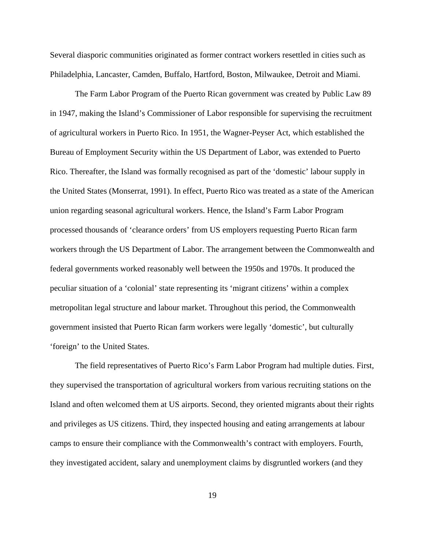Several diasporic communities originated as former contract workers resettled in cities such as Philadelphia, Lancaster, Camden, Buffalo, Hartford, Boston, Milwaukee, Detroit and Miami.

 The Farm Labor Program of the Puerto Rican government was created by Public Law 89 in 1947, making the Island's Commissioner of Labor responsible for supervising the recruitment of agricultural workers in Puerto Rico. In 1951, the Wagner-Peyser Act, which established the Bureau of Employment Security within the US Department of Labor, was extended to Puerto Rico. Thereafter, the Island was formally recognised as part of the 'domestic' labour supply in the United States (Monserrat, 1991). In effect, Puerto Rico was treated as a state of the American union regarding seasonal agricultural workers. Hence, the Island's Farm Labor Program processed thousands of 'clearance orders' from US employers requesting Puerto Rican farm workers through the US Department of Labor. The arrangement between the Commonwealth and federal governments worked reasonably well between the 1950s and 1970s. It produced the peculiar situation of a 'colonial' state representing its 'migrant citizens' within a complex metropolitan legal structure and labour market. Throughout this period, the Commonwealth government insisted that Puerto Rican farm workers were legally 'domestic', but culturally 'foreign' to the United States.

 The field representatives of Puerto Rico's Farm Labor Program had multiple duties. First, they supervised the transportation of agricultural workers from various recruiting stations on the Island and often welcomed them at US airports. Second, they oriented migrants about their rights and privileges as US citizens. Third, they inspected housing and eating arrangements at labour camps to ensure their compliance with the Commonwealth's contract with employers. Fourth, they investigated accident, salary and unemployment claims by disgruntled workers (and they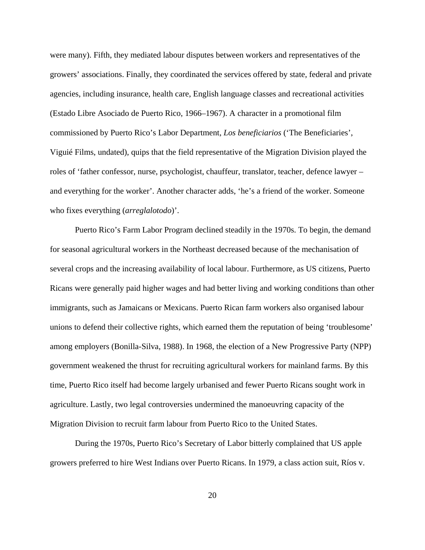were many). Fifth, they mediated labour disputes between workers and representatives of the growers' associations. Finally, they coordinated the services offered by state, federal and private agencies, including insurance, health care, English language classes and recreational activities (Estado Libre Asociado de Puerto Rico, 1966–1967). A character in a promotional film commissioned by Puerto Rico's Labor Department, *Los beneficiarios* ('The Beneficiaries', Viguié Films, undated), quips that the field representative of the Migration Division played the roles of 'father confessor, nurse, psychologist, chauffeur, translator, teacher, defence lawyer – and everything for the worker'. Another character adds, 'he's a friend of the worker. Someone who fixes everything (*arreglalotodo*)'.

Puerto Rico's Farm Labor Program declined steadily in the 1970s. To begin, the demand for seasonal agricultural workers in the Northeast decreased because of the mechanisation of several crops and the increasing availability of local labour. Furthermore, as US citizens, Puerto Ricans were generally paid higher wages and had better living and working conditions than other immigrants, such as Jamaicans or Mexicans. Puerto Rican farm workers also organised labour unions to defend their collective rights, which earned them the reputation of being 'troublesome' among employers (Bonilla-Silva, 1988). In 1968, the election of a New Progressive Party (NPP) government weakened the thrust for recruiting agricultural workers for mainland farms. By this time, Puerto Rico itself had become largely urbanised and fewer Puerto Ricans sought work in agriculture. Lastly, two legal controversies undermined the manoeuvring capacity of the Migration Division to recruit farm labour from Puerto Rico to the United States.

 During the 1970s, Puerto Rico's Secretary of Labor bitterly complained that US apple growers preferred to hire West Indians over Puerto Ricans. In 1979, a class action suit, Ríos v.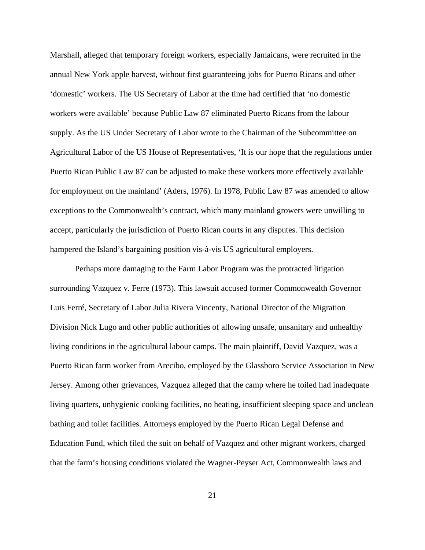Marshall, alleged that temporary foreign workers, especially Jamaicans, were recruited in the annual New York apple harvest, without first guaranteeing jobs for Puerto Ricans and other 'domestic' workers. The US Secretary of Labor at the time had certified that 'no domestic workers were available' because Public Law 87 eliminated Puerto Ricans from the labour supply. As the US Under Secretary of Labor wrote to the Chairman of the Subcommittee on Agricultural Labor of the US House of Representatives, 'It is our hope that the regulations under Puerto Rican Public Law 87 can be adjusted to make these workers more effectively available for employment on the mainland' (Aders, 1976). In 1978, Public Law 87 was amended to allow exceptions to the Commonwealth's contract, which many mainland growers were unwilling to accept, particularly the jurisdiction of Puerto Rican courts in any disputes. This decision hampered the Island's bargaining position vis-à-vis US agricultural employers.

Perhaps more damaging to the Farm Labor Program was the protracted litigation surrounding Vazquez v. Ferre (1973). This lawsuit accused former Commonwealth Governor Luis Ferré, Secretary of Labor Julia Rivera Vincenty, National Director of the Migration Division Nick Lugo and other public authorities of allowing unsafe, unsanitary and unhealthy living conditions in the agricultural labour camps. The main plaintiff, David Vazquez, was a Puerto Rican farm worker from Arecibo, employed by the Glassboro Service Association in New Jersey. Among other grievances, Vazquez alleged that the camp where he toiled had inadequate living quarters, unhygienic cooking facilities, no heating, insufficient sleeping space and unclean bathing and toilet facilities. Attorneys employed by the Puerto Rican Legal Defense and Education Fund, which filed the suit on behalf of Vazquez and other migrant workers, charged that the farm's housing conditions violated the Wagner-Peyser Act, Commonwealth laws and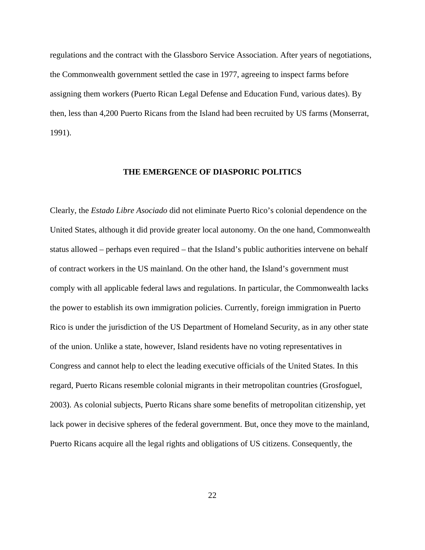regulations and the contract with the Glassboro Service Association. After years of negotiations, the Commonwealth government settled the case in 1977, agreeing to inspect farms before assigning them workers (Puerto Rican Legal Defense and Education Fund, various dates). By then, less than 4,200 Puerto Ricans from the Island had been recruited by US farms (Monserrat, 1991).

#### **THE EMERGENCE OF DIASPORIC POLITICS**

Clearly, the *Estado Libre Asociado* did not eliminate Puerto Rico's colonial dependence on the United States, although it did provide greater local autonomy. On the one hand, Commonwealth status allowed – perhaps even required – that the Island's public authorities intervene on behalf of contract workers in the US mainland. On the other hand, the Island's government must comply with all applicable federal laws and regulations. In particular, the Commonwealth lacks the power to establish its own immigration policies. Currently, foreign immigration in Puerto Rico is under the jurisdiction of the US Department of Homeland Security, as in any other state of the union. Unlike a state, however, Island residents have no voting representatives in Congress and cannot help to elect the leading executive officials of the United States. In this regard, Puerto Ricans resemble colonial migrants in their metropolitan countries (Grosfoguel, 2003). As colonial subjects, Puerto Ricans share some benefits of metropolitan citizenship, yet lack power in decisive spheres of the federal government. But, once they move to the mainland, Puerto Ricans acquire all the legal rights and obligations of US citizens. Consequently, the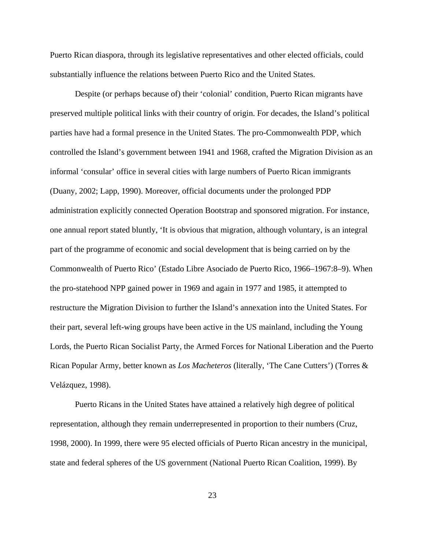Puerto Rican diaspora, through its legislative representatives and other elected officials, could substantially influence the relations between Puerto Rico and the United States.

Despite (or perhaps because of) their 'colonial' condition, Puerto Rican migrants have preserved multiple political links with their country of origin. For decades, the Island's political parties have had a formal presence in the United States. The pro-Commonwealth PDP, which controlled the Island's government between 1941 and 1968, crafted the Migration Division as an informal 'consular' office in several cities with large numbers of Puerto Rican immigrants (Duany, 2002; Lapp, 1990). Moreover, official documents under the prolonged PDP administration explicitly connected Operation Bootstrap and sponsored migration. For instance, one annual report stated bluntly, 'It is obvious that migration, although voluntary, is an integral part of the programme of economic and social development that is being carried on by the Commonwealth of Puerto Rico' (Estado Libre Asociado de Puerto Rico, 1966–1967:8–9). When the pro-statehood NPP gained power in 1969 and again in 1977 and 1985, it attempted to restructure the Migration Division to further the Island's annexation into the United States. For their part, several left-wing groups have been active in the US mainland, including the Young Lords, the Puerto Rican Socialist Party, the Armed Forces for National Liberation and the Puerto Rican Popular Army, better known as *Los Macheteros* (literally, 'The Cane Cutters') (Torres & Velázquez, 1998).

Puerto Ricans in the United States have attained a relatively high degree of political representation, although they remain underrepresented in proportion to their numbers (Cruz, 1998, 2000). In 1999, there were 95 elected officials of Puerto Rican ancestry in the municipal, state and federal spheres of the US government (National Puerto Rican Coalition, 1999). By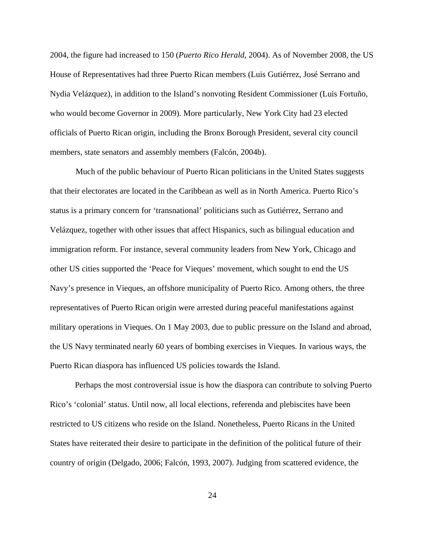2004, the figure had increased to 150 (*Puerto Rico Herald*, 2004). As of November 2008, the US House of Representatives had three Puerto Rican members (Luis Gutiérrez, José Serrano and Nydia Velázquez), in addition to the Island's nonvoting Resident Commissioner (Luis Fortuño, who would become Governor in 2009). More particularly, New York City had 23 elected officials of Puerto Rican origin, including the Bronx Borough President, several city council members, state senators and assembly members (Falcón, 2004b).

 Much of the public behaviour of Puerto Rican politicians in the United States suggests that their electorates are located in the Caribbean as well as in North America. Puerto Rico's status is a primary concern for 'transnational' politicians such as Gutiérrez, Serrano and Velázquez, together with other issues that affect Hispanics, such as bilingual education and immigration reform. For instance, several community leaders from New York, Chicago and other US cities supported the 'Peace for Vieques' movement, which sought to end the US Navy's presence in Vieques, an offshore municipality of Puerto Rico. Among others, the three representatives of Puerto Rican origin were arrested during peaceful manifestations against military operations in Vieques. On 1 May 2003, due to public pressure on the Island and abroad, the US Navy terminated nearly 60 years of bombing exercises in Vieques. In various ways, the Puerto Rican diaspora has influenced US policies towards the Island.

 Perhaps the most controversial issue is how the diaspora can contribute to solving Puerto Rico's 'colonial' status. Until now, all local elections, referenda and plebiscites have been restricted to US citizens who reside on the Island. Nonetheless, Puerto Ricans in the United States have reiterated their desire to participate in the definition of the political future of their country of origin (Delgado, 2006; Falcón, 1993, 2007). Judging from scattered evidence, the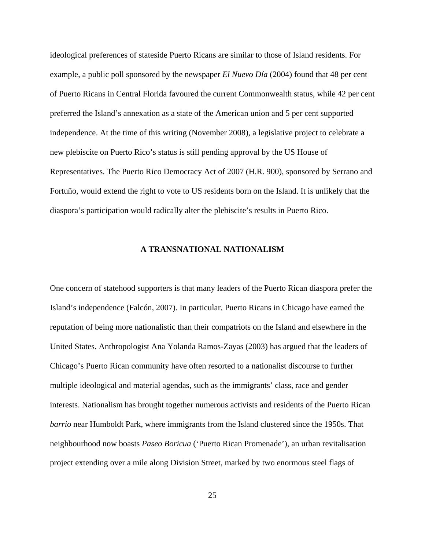ideological preferences of stateside Puerto Ricans are similar to those of Island residents. For example, a public poll sponsored by the newspaper *El Nuevo Día* (2004) found that 48 per cent of Puerto Ricans in Central Florida favoured the current Commonwealth status, while 42 per cent preferred the Island's annexation as a state of the American union and 5 per cent supported independence. At the time of this writing (November 2008), a legislative project to celebrate a new plebiscite on Puerto Rico's status is still pending approval by the US House of Representatives. The Puerto Rico Democracy Act of 2007 (H.R. 900), sponsored by Serrano and Fortuño, would extend the right to vote to US residents born on the Island. It is unlikely that the diaspora's participation would radically alter the plebiscite's results in Puerto Rico.

#### **A TRANSNATIONAL NATIONALISM**

One concern of statehood supporters is that many leaders of the Puerto Rican diaspora prefer the Island's independence (Falcón, 2007). In particular, Puerto Ricans in Chicago have earned the reputation of being more nationalistic than their compatriots on the Island and elsewhere in the United States. Anthropologist Ana Yolanda Ramos-Zayas (2003) has argued that the leaders of Chicago's Puerto Rican community have often resorted to a nationalist discourse to further multiple ideological and material agendas, such as the immigrants' class, race and gender interests. Nationalism has brought together numerous activists and residents of the Puerto Rican *barrio* near Humboldt Park, where immigrants from the Island clustered since the 1950s. That neighbourhood now boasts *Paseo Boricua* ('Puerto Rican Promenade'), an urban revitalisation project extending over a mile along Division Street, marked by two enormous steel flags of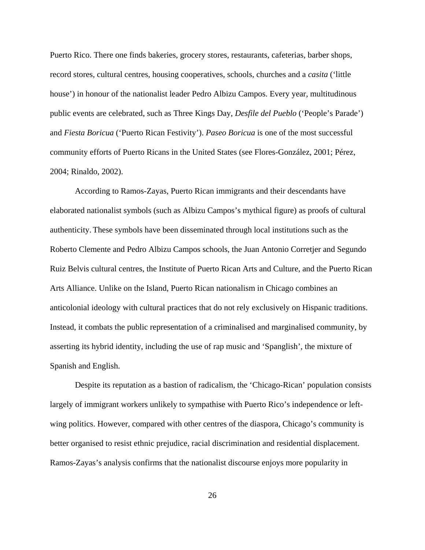Puerto Rico. There one finds bakeries, grocery stores, restaurants, cafeterias, barber shops, record stores, cultural centres, housing cooperatives, schools, churches and a *casita* ('little house') in honour of the nationalist leader Pedro Albizu Campos. Every year, multitudinous public events are celebrated, such as Three Kings Day, *Desfile del Pueblo* ('People's Parade') and *Fiesta Boricua* ('Puerto Rican Festivity'). *Paseo Boricua* is one of the most successful community efforts of Puerto Ricans in the United States (see Flores-González, 2001; Pérez, 2004; Rinaldo, 2002).

According to Ramos-Zayas, Puerto Rican immigrants and their descendants have elaborated nationalist symbols (such as Albizu Campos's mythical figure) as proofs of cultural authenticity. These symbols have been disseminated through local institutions such as the Roberto Clemente and Pedro Albizu Campos schools, the Juan Antonio Corretjer and Segundo Ruiz Belvis cultural centres, the Institute of Puerto Rican Arts and Culture, and the Puerto Rican Arts Alliance. Unlike on the Island, Puerto Rican nationalism in Chicago combines an anticolonial ideology with cultural practices that do not rely exclusively on Hispanic traditions. Instead, it combats the public representation of a criminalised and marginalised community, by asserting its hybrid identity, including the use of rap music and 'Spanglish', the mixture of Spanish and English.

Despite its reputation as a bastion of radicalism, the 'Chicago-Rican' population consists largely of immigrant workers unlikely to sympathise with Puerto Rico's independence or leftwing politics. However, compared with other centres of the diaspora, Chicago's community is better organised to resist ethnic prejudice, racial discrimination and residential displacement. Ramos-Zayas's analysis confirms that the nationalist discourse enjoys more popularity in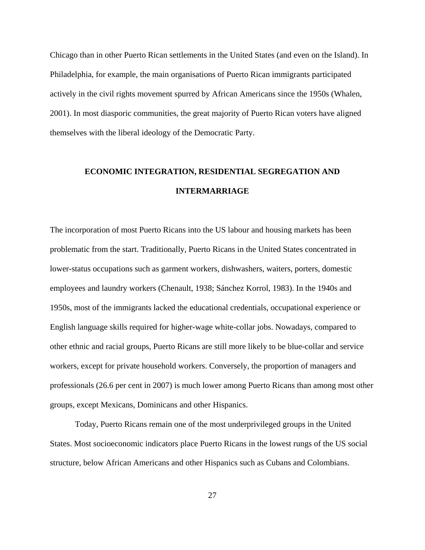Chicago than in other Puerto Rican settlements in the United States (and even on the Island). In Philadelphia, for example, the main organisations of Puerto Rican immigrants participated actively in the civil rights movement spurred by African Americans since the 1950s (Whalen, 2001). In most diasporic communities, the great majority of Puerto Rican voters have aligned themselves with the liberal ideology of the Democratic Party.

## **ECONOMIC INTEGRATION, RESIDENTIAL SEGREGATION AND INTERMARRIAGE**

The incorporation of most Puerto Ricans into the US labour and housing markets has been problematic from the start. Traditionally, Puerto Ricans in the United States concentrated in lower-status occupations such as garment workers, dishwashers, waiters, porters, domestic employees and laundry workers (Chenault, 1938; Sánchez Korrol, 1983). In the 1940s and 1950s, most of the immigrants lacked the educational credentials, occupational experience or English language skills required for higher-wage white-collar jobs. Nowadays, compared to other ethnic and racial groups, Puerto Ricans are still more likely to be blue-collar and service workers, except for private household workers. Conversely, the proportion of managers and professionals (26.6 per cent in 2007) is much lower among Puerto Ricans than among most other groups, except Mexicans, Dominicans and other Hispanics.

 Today, Puerto Ricans remain one of the most underprivileged groups in the United States. Most socioeconomic indicators place Puerto Ricans in the lowest rungs of the US social structure, below African Americans and other Hispanics such as Cubans and Colombians.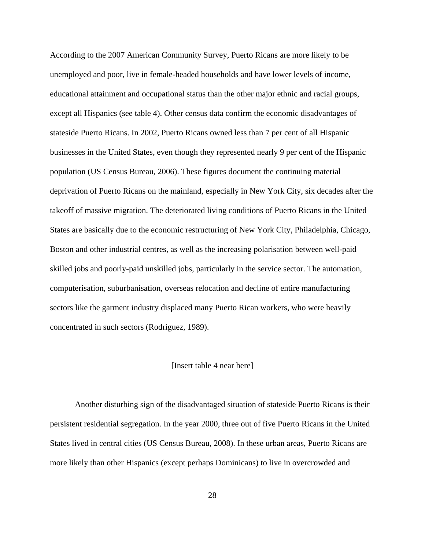According to the 2007 American Community Survey, Puerto Ricans are more likely to be unemployed and poor, live in female-headed households and have lower levels of income, educational attainment and occupational status than the other major ethnic and racial groups, except all Hispanics (see table 4). Other census data confirm the economic disadvantages of stateside Puerto Ricans. In 2002, Puerto Ricans owned less than 7 per cent of all Hispanic businesses in the United States, even though they represented nearly 9 per cent of the Hispanic population (US Census Bureau, 2006). These figures document the continuing material deprivation of Puerto Ricans on the mainland, especially in New York City, six decades after the takeoff of massive migration. The deteriorated living conditions of Puerto Ricans in the United States are basically due to the economic restructuring of New York City, Philadelphia, Chicago, Boston and other industrial centres, as well as the increasing polarisation between well-paid skilled jobs and poorly-paid unskilled jobs, particularly in the service sector. The automation, computerisation, suburbanisation, overseas relocation and decline of entire manufacturing sectors like the garment industry displaced many Puerto Rican workers, who were heavily concentrated in such sectors (Rodríguez, 1989).

#### [Insert table 4 near here]

 Another disturbing sign of the disadvantaged situation of stateside Puerto Ricans is their persistent residential segregation. In the year 2000, three out of five Puerto Ricans in the United States lived in central cities (US Census Bureau, 2008). In these urban areas, Puerto Ricans are more likely than other Hispanics (except perhaps Dominicans) to live in overcrowded and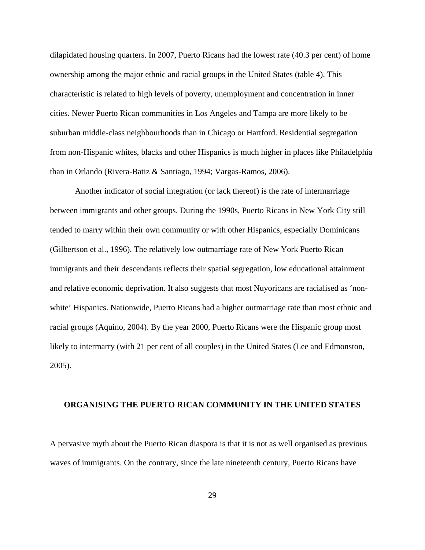dilapidated housing quarters. In 2007, Puerto Ricans had the lowest rate (40.3 per cent) of home ownership among the major ethnic and racial groups in the United States (table 4). This characteristic is related to high levels of poverty, unemployment and concentration in inner cities. Newer Puerto Rican communities in Los Angeles and Tampa are more likely to be suburban middle-class neighbourhoods than in Chicago or Hartford. Residential segregation from non-Hispanic whites, blacks and other Hispanics is much higher in places like Philadelphia than in Orlando (Rivera-Batiz & Santiago, 1994; Vargas-Ramos, 2006).

 Another indicator of social integration (or lack thereof) is the rate of intermarriage between immigrants and other groups. During the 1990s, Puerto Ricans in New York City still tended to marry within their own community or with other Hispanics, especially Dominicans (Gilbertson et al., 1996). The relatively low outmarriage rate of New York Puerto Rican immigrants and their descendants reflects their spatial segregation, low educational attainment and relative economic deprivation. It also suggests that most Nuyoricans are racialised as 'nonwhite' Hispanics. Nationwide, Puerto Ricans had a higher outmarriage rate than most ethnic and racial groups (Aquino, 2004). By the year 2000, Puerto Ricans were the Hispanic group most likely to intermarry (with 21 per cent of all couples) in the United States (Lee and Edmonston, 2005).

#### **ORGANISING THE PUERTO RICAN COMMUNITY IN THE UNITED STATES**

A pervasive myth about the Puerto Rican diaspora is that it is not as well organised as previous waves of immigrants. On the contrary, since the late nineteenth century, Puerto Ricans have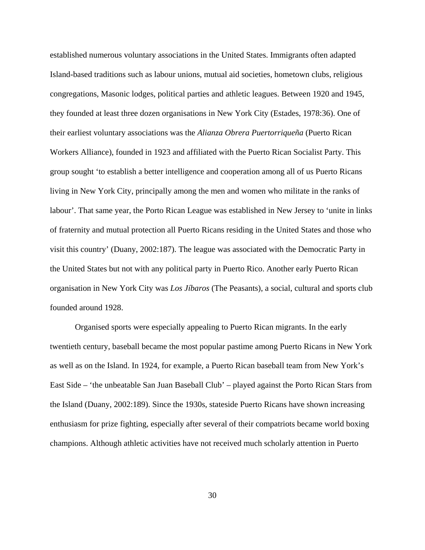established numerous voluntary associations in the United States. Immigrants often adapted Island-based traditions such as labour unions, mutual aid societies, hometown clubs, religious congregations, Masonic lodges, political parties and athletic leagues. Between 1920 and 1945, they founded at least three dozen organisations in New York City (Estades, 1978:36). One of their earliest voluntary associations was the *Alianza Obrera Puertorriqueña* (Puerto Rican Workers Alliance), founded in 1923 and affiliated with the Puerto Rican Socialist Party. This group sought 'to establish a better intelligence and cooperation among all of us Puerto Ricans living in New York City, principally among the men and women who militate in the ranks of labour'. That same year, the Porto Rican League was established in New Jersey to 'unite in links of fraternity and mutual protection all Puerto Ricans residing in the United States and those who visit this country' (Duany, 2002:187). The league was associated with the Democratic Party in the United States but not with any political party in Puerto Rico. Another early Puerto Rican organisation in New York City was *Los Jíbaros* (The Peasants), a social, cultural and sports club founded around 1928.

 Organised sports were especially appealing to Puerto Rican migrants. In the early twentieth century, baseball became the most popular pastime among Puerto Ricans in New York as well as on the Island. In 1924, for example, a Puerto Rican baseball team from New York's East Side – 'the unbeatable San Juan Baseball Club' – played against the Porto Rican Stars from the Island (Duany, 2002:189). Since the 1930s, stateside Puerto Ricans have shown increasing enthusiasm for prize fighting, especially after several of their compatriots became world boxing champions. Although athletic activities have not received much scholarly attention in Puerto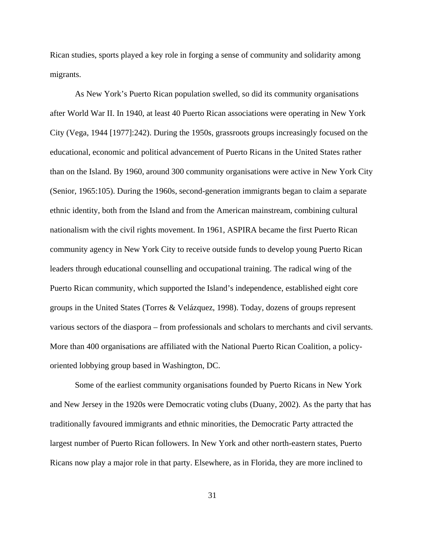Rican studies, sports played a key role in forging a sense of community and solidarity among migrants.

 As New York's Puerto Rican population swelled, so did its community organisations after World War II. In 1940, at least 40 Puerto Rican associations were operating in New York City (Vega, 1944 [1977]:242). During the 1950s, grassroots groups increasingly focused on the educational, economic and political advancement of Puerto Ricans in the United States rather than on the Island. By 1960, around 300 community organisations were active in New York City (Senior, 1965:105). During the 1960s, second-generation immigrants began to claim a separate ethnic identity, both from the Island and from the American mainstream, combining cultural nationalism with the civil rights movement. In 1961, ASPIRA became the first Puerto Rican community agency in New York City to receive outside funds to develop young Puerto Rican leaders through educational counselling and occupational training. The radical wing of the Puerto Rican community, which supported the Island's independence, established eight core groups in the United States (Torres & Velázquez, 1998). Today, dozens of groups represent various sectors of the diaspora – from professionals and scholars to merchants and civil servants. More than 400 organisations are affiliated with the National Puerto Rican Coalition, a policyoriented lobbying group based in Washington, DC.

 Some of the earliest community organisations founded by Puerto Ricans in New York and New Jersey in the 1920s were Democratic voting clubs (Duany, 2002). As the party that has traditionally favoured immigrants and ethnic minorities, the Democratic Party attracted the largest number of Puerto Rican followers. In New York and other north-eastern states, Puerto Ricans now play a major role in that party. Elsewhere, as in Florida, they are more inclined to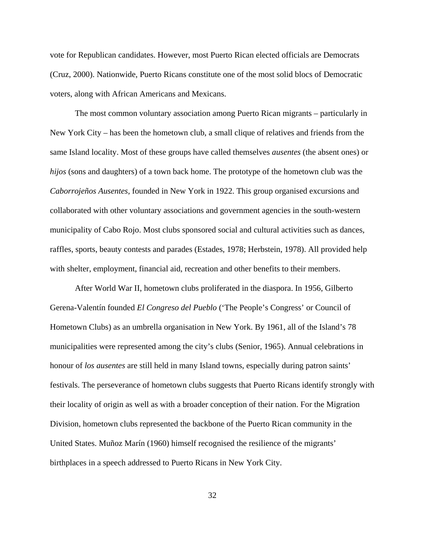vote for Republican candidates. However, most Puerto Rican elected officials are Democrats (Cruz, 2000). Nationwide, Puerto Ricans constitute one of the most solid blocs of Democratic voters, along with African Americans and Mexicans.

 The most common voluntary association among Puerto Rican migrants – particularly in New York City – has been the hometown club, a small clique of relatives and friends from the same Island locality. Most of these groups have called themselves *ausentes* (the absent ones) or *hijos* (sons and daughters) of a town back home. The prototype of the hometown club was the *Caborrojeños Ausentes*, founded in New York in 1922. This group organised excursions and collaborated with other voluntary associations and government agencies in the south-western municipality of Cabo Rojo. Most clubs sponsored social and cultural activities such as dances, raffles, sports, beauty contests and parades (Estades, 1978; Herbstein, 1978). All provided help with shelter, employment, financial aid, recreation and other benefits to their members.

 After World War II, hometown clubs proliferated in the diaspora. In 1956, Gilberto Gerena-Valentín founded *El Congreso del Pueblo* ('The People's Congress' or Council of Hometown Clubs) as an umbrella organisation in New York. By 1961, all of the Island's 78 municipalities were represented among the city's clubs (Senior, 1965). Annual celebrations in honour of *los ausentes* are still held in many Island towns, especially during patron saints' festivals. The perseverance of hometown clubs suggests that Puerto Ricans identify strongly with their locality of origin as well as with a broader conception of their nation. For the Migration Division, hometown clubs represented the backbone of the Puerto Rican community in the United States. Muñoz Marín (1960) himself recognised the resilience of the migrants' birthplaces in a speech addressed to Puerto Ricans in New York City.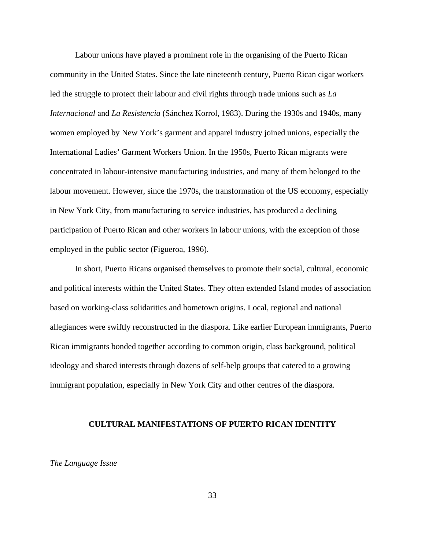Labour unions have played a prominent role in the organising of the Puerto Rican community in the United States. Since the late nineteenth century, Puerto Rican cigar workers led the struggle to protect their labour and civil rights through trade unions such as *La Internacional* and *La Resistencia* (Sánchez Korrol, 1983). During the 1930s and 1940s, many women employed by New York's garment and apparel industry joined unions, especially the International Ladies' Garment Workers Union. In the 1950s, Puerto Rican migrants were concentrated in labour-intensive manufacturing industries, and many of them belonged to the labour movement. However, since the 1970s, the transformation of the US economy, especially in New York City, from manufacturing to service industries, has produced a declining participation of Puerto Rican and other workers in labour unions, with the exception of those employed in the public sector (Figueroa, 1996).

 In short, Puerto Ricans organised themselves to promote their social, cultural, economic and political interests within the United States. They often extended Island modes of association based on working-class solidarities and hometown origins. Local, regional and national allegiances were swiftly reconstructed in the diaspora. Like earlier European immigrants, Puerto Rican immigrants bonded together according to common origin, class background, political ideology and shared interests through dozens of self-help groups that catered to a growing immigrant population, especially in New York City and other centres of the diaspora.

#### **CULTURAL MANIFESTATIONS OF PUERTO RICAN IDENTITY**

#### *The Language Issue*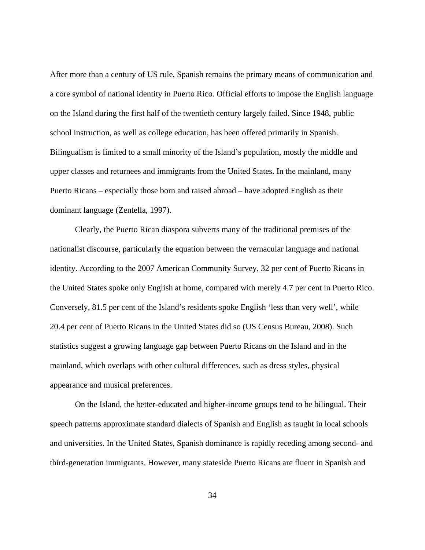After more than a century of US rule, Spanish remains the primary means of communication and a core symbol of national identity in Puerto Rico. Official efforts to impose the English language on the Island during the first half of the twentieth century largely failed. Since 1948, public school instruction, as well as college education, has been offered primarily in Spanish. Bilingualism is limited to a small minority of the Island's population, mostly the middle and upper classes and returnees and immigrants from the United States. In the mainland, many Puerto Ricans – especially those born and raised abroad – have adopted English as their dominant language (Zentella, 1997).

Clearly, the Puerto Rican diaspora subverts many of the traditional premises of the nationalist discourse, particularly the equation between the vernacular language and national identity. According to the 2007 American Community Survey, 32 per cent of Puerto Ricans in the United States spoke only English at home, compared with merely 4.7 per cent in Puerto Rico. Conversely, 81.5 per cent of the Island's residents spoke English 'less than very well', while 20.4 per cent of Puerto Ricans in the United States did so (US Census Bureau, 2008). Such statistics suggest a growing language gap between Puerto Ricans on the Island and in the mainland, which overlaps with other cultural differences, such as dress styles, physical appearance and musical preferences.

 On the Island, the better-educated and higher-income groups tend to be bilingual. Their speech patterns approximate standard dialects of Spanish and English as taught in local schools and universities. In the United States, Spanish dominance is rapidly receding among second- and third-generation immigrants. However, many stateside Puerto Ricans are fluent in Spanish and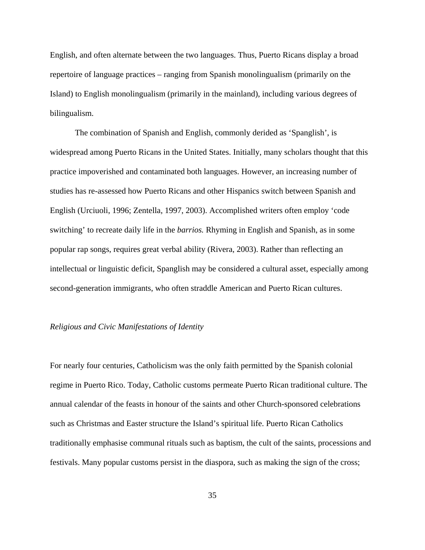English, and often alternate between the two languages. Thus, Puerto Ricans display a broad repertoire of language practices – ranging from Spanish monolingualism (primarily on the Island) to English monolingualism (primarily in the mainland), including various degrees of bilingualism.

 The combination of Spanish and English, commonly derided as 'Spanglish', is widespread among Puerto Ricans in the United States. Initially, many scholars thought that this practice impoverished and contaminated both languages. However, an increasing number of studies has re-assessed how Puerto Ricans and other Hispanics switch between Spanish and English (Urciuoli, 1996; Zentella, 1997, 2003). Accomplished writers often employ 'code switching' to recreate daily life in the *barrios.* Rhyming in English and Spanish, as in some popular rap songs, requires great verbal ability (Rivera, 2003). Rather than reflecting an intellectual or linguistic deficit, Spanglish may be considered a cultural asset, especially among second-generation immigrants, who often straddle American and Puerto Rican cultures.

#### *Religious and Civic Manifestations of Identity*

For nearly four centuries, Catholicism was the only faith permitted by the Spanish colonial regime in Puerto Rico. Today, Catholic customs permeate Puerto Rican traditional culture. The annual calendar of the feasts in honour of the saints and other Church-sponsored celebrations such as Christmas and Easter structure the Island's spiritual life. Puerto Rican Catholics traditionally emphasise communal rituals such as baptism, the cult of the saints, processions and festivals. Many popular customs persist in the diaspora, such as making the sign of the cross;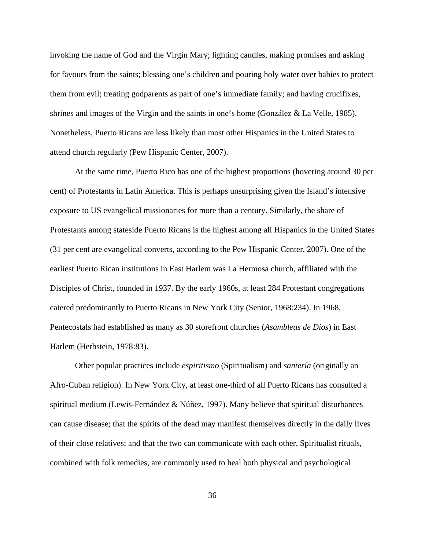invoking the name of God and the Virgin Mary; lighting candles, making promises and asking for favours from the saints; blessing one's children and pouring holy water over babies to protect them from evil; treating godparents as part of one's immediate family; and having crucifixes, shrines and images of the Virgin and the saints in one's home (González & La Velle, 1985). Nonetheless, Puerto Ricans are less likely than most other Hispanics in the United States to attend church regularly (Pew Hispanic Center, 2007).

 At the same time, Puerto Rico has one of the highest proportions (hovering around 30 per cent) of Protestants in Latin America. This is perhaps unsurprising given the Island's intensive exposure to US evangelical missionaries for more than a century. Similarly, the share of Protestants among stateside Puerto Ricans is the highest among all Hispanics in the United States (31 per cent are evangelical converts, according to the Pew Hispanic Center, 2007). One of the earliest Puerto Rican institutions in East Harlem was La Hermosa church, affiliated with the Disciples of Christ, founded in 1937. By the early 1960s, at least 284 Protestant congregations catered predominantly to Puerto Ricans in New York City (Senior, 1968:234). In 1968, Pentecostals had established as many as 30 storefront churches (*Asambleas de Dios*) in East Harlem (Herbstein, 1978:83).

 Other popular practices include *espiritismo* (Spiritualism) and *santería* (originally an Afro-Cuban religion). In New York City, at least one-third of all Puerto Ricans has consulted a spiritual medium (Lewis-Fernández & Núñez, 1997). Many believe that spiritual disturbances can cause disease; that the spirits of the dead may manifest themselves directly in the daily lives of their close relatives; and that the two can communicate with each other. Spiritualist rituals, combined with folk remedies, are commonly used to heal both physical and psychological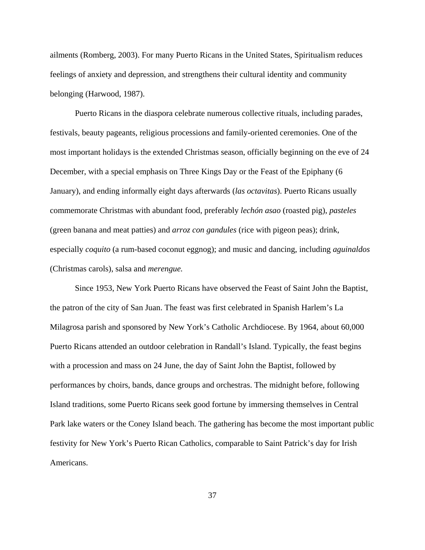ailments (Romberg, 2003). For many Puerto Ricans in the United States, Spiritualism reduces feelings of anxiety and depression, and strengthens their cultural identity and community belonging (Harwood, 1987).

 Puerto Ricans in the diaspora celebrate numerous collective rituals, including parades, festivals, beauty pageants, religious processions and family-oriented ceremonies. One of the most important holidays is the extended Christmas season, officially beginning on the eve of 24 December, with a special emphasis on Three Kings Day or the Feast of the Epiphany (6 January), and ending informally eight days afterwards (*las octavitas*). Puerto Ricans usually commemorate Christmas with abundant food, preferably *lechón asao* (roasted pig), *pasteles*  (green banana and meat patties) and *arroz con gandules* (rice with pigeon peas); drink, especially *coquito* (a rum-based coconut eggnog); and music and dancing, including *aguinaldos*  (Christmas carols), salsa and *merengue.*

 Since 1953, New York Puerto Ricans have observed the Feast of Saint John the Baptist, the patron of the city of San Juan. The feast was first celebrated in Spanish Harlem's La Milagrosa parish and sponsored by New York's Catholic Archdiocese. By 1964, about 60,000 Puerto Ricans attended an outdoor celebration in Randall's Island. Typically, the feast begins with a procession and mass on 24 June, the day of Saint John the Baptist, followed by performances by choirs, bands, dance groups and orchestras. The midnight before, following Island traditions, some Puerto Ricans seek good fortune by immersing themselves in Central Park lake waters or the Coney Island beach. The gathering has become the most important public festivity for New York's Puerto Rican Catholics, comparable to Saint Patrick's day for Irish Americans.

37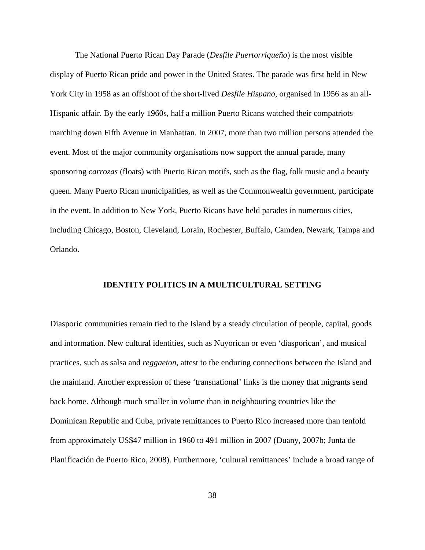The National Puerto Rican Day Parade (*Desfile Puertorriqueño*) is the most visible display of Puerto Rican pride and power in the United States. The parade was first held in New York City in 1958 as an offshoot of the short-lived *Desfile Hispano*, organised in 1956 as an all-Hispanic affair. By the early 1960s, half a million Puerto Ricans watched their compatriots marching down Fifth Avenue in Manhattan. In 2007, more than two million persons attended the event. Most of the major community organisations now support the annual parade, many sponsoring *carrozas* (floats) with Puerto Rican motifs, such as the flag, folk music and a beauty queen. Many Puerto Rican municipalities, as well as the Commonwealth government, participate in the event. In addition to New York, Puerto Ricans have held parades in numerous cities, including Chicago, Boston, Cleveland, Lorain, Rochester, Buffalo, Camden, Newark, Tampa and Orlando.

#### **IDENTITY POLITICS IN A MULTICULTURAL SETTING**

Diasporic communities remain tied to the Island by a steady circulation of people, capital, goods and information. New cultural identities, such as Nuyorican or even 'diasporican', and musical practices, such as salsa and *reggaeton*, attest to the enduring connections between the Island and the mainland. Another expression of these 'transnational' links is the money that migrants send back home. Although much smaller in volume than in neighbouring countries like the Dominican Republic and Cuba, private remittances to Puerto Rico increased more than tenfold from approximately US\$47 million in 1960 to 491 million in 2007 (Duany, 2007b; Junta de Planificación de Puerto Rico, 2008). Furthermore, 'cultural remittances' include a broad range of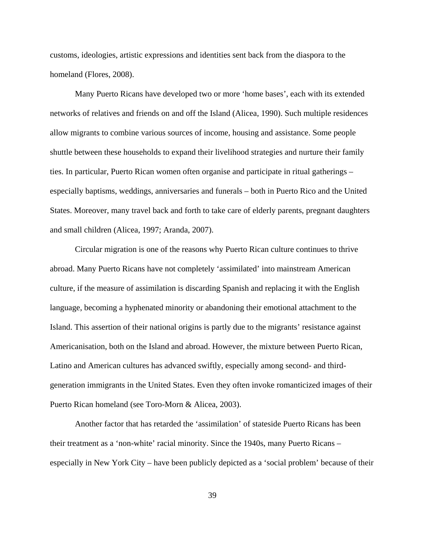customs, ideologies, artistic expressions and identities sent back from the diaspora to the homeland (Flores, 2008).

 Many Puerto Ricans have developed two or more 'home bases', each with its extended networks of relatives and friends on and off the Island (Alicea, 1990). Such multiple residences allow migrants to combine various sources of income, housing and assistance. Some people shuttle between these households to expand their livelihood strategies and nurture their family ties. In particular, Puerto Rican women often organise and participate in ritual gatherings – especially baptisms, weddings, anniversaries and funerals – both in Puerto Rico and the United States. Moreover, many travel back and forth to take care of elderly parents, pregnant daughters and small children (Alicea, 1997; Aranda, 2007).

 Circular migration is one of the reasons why Puerto Rican culture continues to thrive abroad. Many Puerto Ricans have not completely 'assimilated' into mainstream American culture, if the measure of assimilation is discarding Spanish and replacing it with the English language, becoming a hyphenated minority or abandoning their emotional attachment to the Island. This assertion of their national origins is partly due to the migrants' resistance against Americanisation, both on the Island and abroad. However, the mixture between Puerto Rican, Latino and American cultures has advanced swiftly, especially among second- and thirdgeneration immigrants in the United States. Even they often invoke romanticized images of their Puerto Rican homeland (see Toro-Morn & Alicea, 2003).

 Another factor that has retarded the 'assimilation' of stateside Puerto Ricans has been their treatment as a 'non-white' racial minority. Since the 1940s, many Puerto Ricans – especially in New York City – have been publicly depicted as a 'social problem' because of their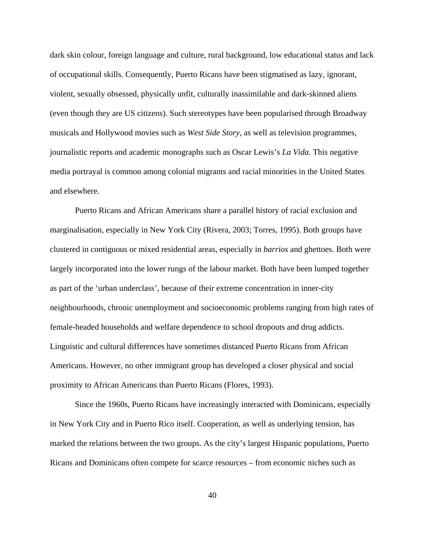dark skin colour, foreign language and culture, rural background, low educational status and lack of occupational skills. Consequently, Puerto Ricans have been stigmatised as lazy, ignorant, violent, sexually obsessed, physically unfit, culturally inassimilable and dark-skinned aliens (even though they are US citizens). Such stereotypes have been popularised through Broadway musicals and Hollywood movies such as *West Side Story*, as well as television programmes, journalistic reports and academic monographs such as Oscar Lewis's *La Vida.* This negative media portrayal is common among colonial migrants and racial minorities in the United States and elsewhere.

 Puerto Ricans and African Americans share a parallel history of racial exclusion and marginalisation, especially in New York City (Rivera, 2003; Torres, 1995). Both groups have clustered in contiguous or mixed residential areas, especially in *barrios* and ghettoes. Both were largely incorporated into the lower rungs of the labour market. Both have been lumped together as part of the 'urban underclass', because of their extreme concentration in inner-city neighbourhoods, chronic unemployment and socioeconomic problems ranging from high rates of female-headed households and welfare dependence to school dropouts and drug addicts. Linguistic and cultural differences have sometimes distanced Puerto Ricans from African Americans. However, no other immigrant group has developed a closer physical and social proximity to African Americans than Puerto Ricans (Flores, 1993).

 Since the 1960s, Puerto Ricans have increasingly interacted with Dominicans, especially in New York City and in Puerto Rico itself. Cooperation, as well as underlying tension, has marked the relations between the two groups. As the city's largest Hispanic populations, Puerto Ricans and Dominicans often compete for scarce resources – from economic niches such as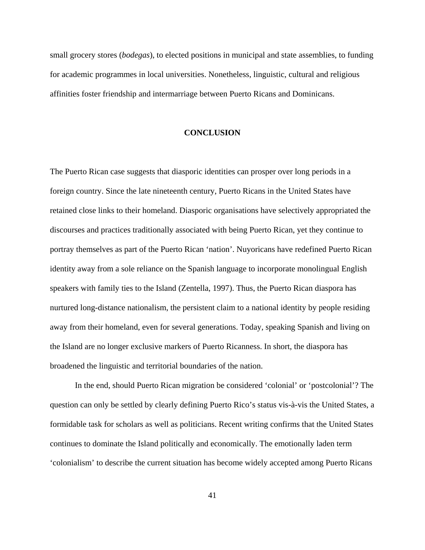small grocery stores (*bodegas*), to elected positions in municipal and state assemblies, to funding for academic programmes in local universities. Nonetheless, linguistic, cultural and religious affinities foster friendship and intermarriage between Puerto Ricans and Dominicans.

#### **CONCLUSION**

The Puerto Rican case suggests that diasporic identities can prosper over long periods in a foreign country. Since the late nineteenth century, Puerto Ricans in the United States have retained close links to their homeland. Diasporic organisations have selectively appropriated the discourses and practices traditionally associated with being Puerto Rican, yet they continue to portray themselves as part of the Puerto Rican 'nation'. Nuyoricans have redefined Puerto Rican identity away from a sole reliance on the Spanish language to incorporate monolingual English speakers with family ties to the Island (Zentella, 1997). Thus, the Puerto Rican diaspora has nurtured long-distance nationalism, the persistent claim to a national identity by people residing away from their homeland, even for several generations. Today, speaking Spanish and living on the Island are no longer exclusive markers of Puerto Ricanness. In short, the diaspora has broadened the linguistic and territorial boundaries of the nation.

 In the end, should Puerto Rican migration be considered 'colonial' or 'postcolonial'? The question can only be settled by clearly defining Puerto Rico's status vis-à-vis the United States, a formidable task for scholars as well as politicians. Recent writing confirms that the United States continues to dominate the Island politically and economically. The emotionally laden term 'colonialism' to describe the current situation has become widely accepted among Puerto Ricans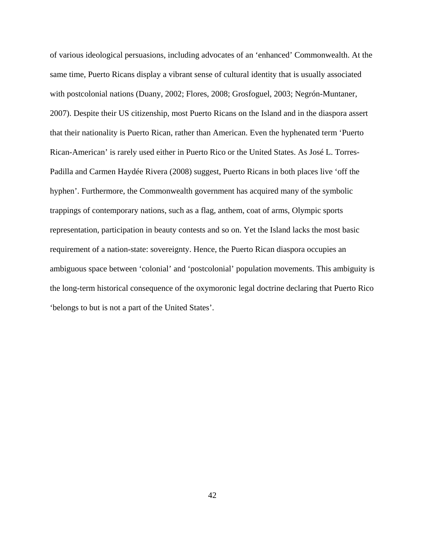of various ideological persuasions, including advocates of an 'enhanced' Commonwealth. At the same time, Puerto Ricans display a vibrant sense of cultural identity that is usually associated with postcolonial nations (Duany, 2002; Flores, 2008; Grosfoguel, 2003; Negrón-Muntaner, 2007). Despite their US citizenship, most Puerto Ricans on the Island and in the diaspora assert that their nationality is Puerto Rican, rather than American. Even the hyphenated term 'Puerto Rican-American' is rarely used either in Puerto Rico or the United States. As José L. Torres-Padilla and Carmen Haydée Rivera (2008) suggest, Puerto Ricans in both places live 'off the hyphen'. Furthermore, the Commonwealth government has acquired many of the symbolic trappings of contemporary nations, such as a flag, anthem, coat of arms, Olympic sports representation, participation in beauty contests and so on. Yet the Island lacks the most basic requirement of a nation-state: sovereignty. Hence, the Puerto Rican diaspora occupies an ambiguous space between 'colonial' and 'postcolonial' population movements. This ambiguity is the long-term historical consequence of the oxymoronic legal doctrine declaring that Puerto Rico 'belongs to but is not a part of the United States'.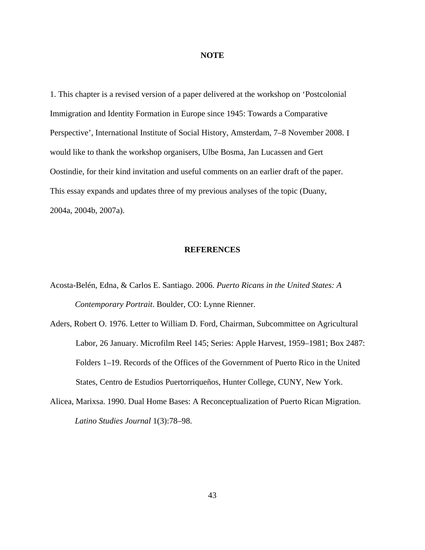#### **NOTE**

1. This chapter is a revised version of a paper delivered at the workshop on 'Postcolonial Immigration and Identity Formation in Europe since 1945: Towards a Comparative Perspective', International Institute of Social History, Amsterdam, 7–8 November 2008. I would like to thank the workshop organisers, Ulbe Bosma, Jan Lucassen and Gert Oostindie, for their kind invitation and useful comments on an earlier draft of the paper. This essay expands and updates three of my previous analyses of the topic (Duany, 2004a, 2004b, 2007a).

#### **REFERENCES**

- Acosta-Belén, Edna, & Carlos E. Santiago. 2006. *Puerto Ricans in the United States: A Contemporary Portrait*. Boulder, CO: Lynne Rienner.
- Aders, Robert O. 1976. Letter to William D. Ford, Chairman, Subcommittee on Agricultural Labor, 26 January. Microfilm Reel 145; Series: Apple Harvest, 1959–1981; Box 2487: Folders 1–19. Records of the Offices of the Government of Puerto Rico in the United States, Centro de Estudios Puertorriqueños, Hunter College, CUNY, New York.
- Alicea, Marixsa. 1990. Dual Home Bases: A Reconceptualization of Puerto Rican Migration. *Latino Studies Journal* 1(3):78–98.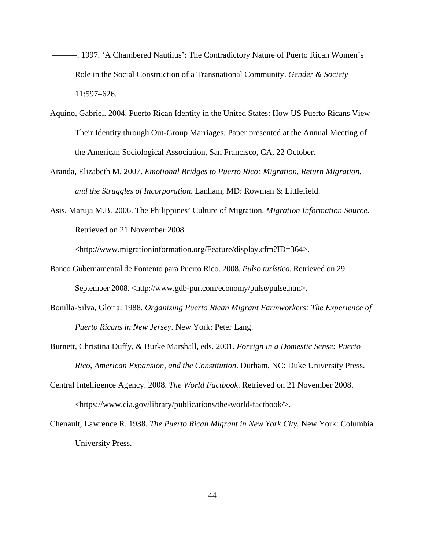- ———. 1997. 'A Chambered Nautilus': The Contradictory Nature of Puerto Rican Women's Role in the Social Construction of a Transnational Community. *Gender & Society* 11:597–626.
- Aquino, Gabriel. 2004. Puerto Rican Identity in the United States: How US Puerto Ricans View Their Identity through Out-Group Marriages. Paper presented at the Annual Meeting of the American Sociological Association, San Francisco, CA, 22 October.
- Aranda, Elizabeth M. 2007. *Emotional Bridges to Puerto Rico: Migration, Return Migration, and the Struggles of Incorporation*. Lanham, MD: Rowman & Littlefield.
- Asis, Maruja M.B. 2006. The Philippines' Culture of Migration. *Migration Information Source*. Retrieved on 21 November 2008.

<http://www.migrationinformation.org/Feature/display.cfm?ID=364>.

- Banco Gubernamental de Fomento para Puerto Rico. 2008. *Pulso turístico*. Retrieved on 29 September 2008. <http://www.gdb-pur.com/economy/pulse/pulse.htm>.
- Bonilla-Silva, Gloria. 1988. *Organizing Puerto Rican Migrant Farmworkers: The Experience of Puerto Ricans in New Jersey*. New York: Peter Lang.
- Burnett, Christina Duffy, & Burke Marshall, eds. 2001. *Foreign in a Domestic Sense: Puerto Rico, American Expansion, and the Constitution*. Durham, NC: Duke University Press.
- Central Intelligence Agency. 2008. *The World Factbook*. Retrieved on 21 November 2008. <https://www.cia.gov/library/publications/the-world-factbook/>.
- Chenault, Lawrence R. 1938. *The Puerto Rican Migrant in New York City.* New York: Columbia University Press.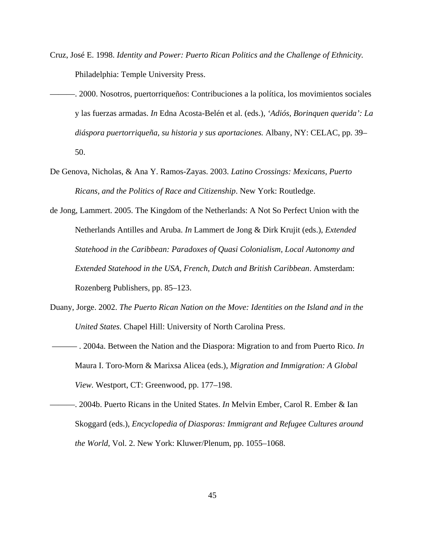- Cruz, José E. 1998. *Identity and Power: Puerto Rican Politics and the Challenge of Ethnicity.*  Philadelphia: Temple University Press.
- ———. 2000. Nosotros, puertorriqueños: Contribuciones a la política, los movimientos sociales y las fuerzas armadas. *In* Edna Acosta-Belén et al. (eds.), *'Adiós, Borinquen querida': La diáspora puertorriqueña, su historia y sus aportaciones.* Albany, NY: CELAC, pp. 39– 50.
- De Genova, Nicholas, & Ana Y. Ramos-Zayas. 2003. *Latino Crossings: Mexicans, Puerto Ricans, and the Politics of Race and Citizenship*. New York: Routledge.
- de Jong, Lammert. 2005. The Kingdom of the Netherlands: A Not So Perfect Union with the Netherlands Antilles and Aruba. *In* Lammert de Jong & Dirk Krujit (eds.), *Extended Statehood in the Caribbean: Paradoxes of Quasi Colonialism, Local Autonomy and Extended Statehood in the USA, French, Dutch and British Caribbean*. Amsterdam: Rozenberg Publishers, pp. 85–123.
- Duany, Jorge. 2002. *The Puerto Rican Nation on the Move: Identities on the Island and in the United States.* Chapel Hill: University of North Carolina Press.
- ——— . 2004a. Between the Nation and the Diaspora: Migration to and from Puerto Rico. *In* Maura I. Toro-Morn & Marixsa Alicea (eds.), *Migration and Immigration: A Global View.* Westport, CT: Greenwood, pp. 177–198.
- ———. 2004b. Puerto Ricans in the United States. *In* Melvin Ember, Carol R. Ember & Ian Skoggard (eds.), *Encyclopedia of Diasporas: Immigrant and Refugee Cultures around the World*, Vol. 2. New York: Kluwer/Plenum, pp. 1055–1068.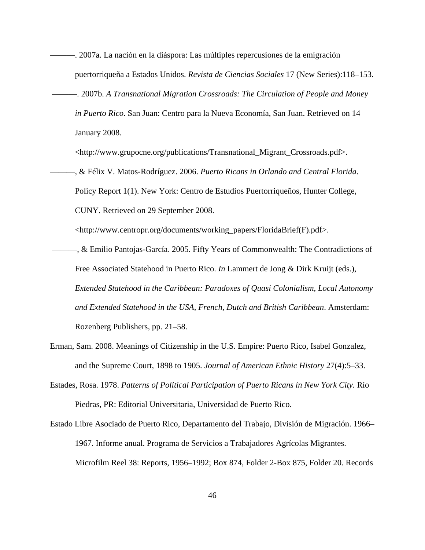- ———. 2007a. La nación en la diáspora: Las múltiples repercusiones de la emigración puertorriqueña a Estados Unidos. *Revista de Ciencias Sociales* 17 (New Series):118–153.
- ———. 2007b. *A Transnational Migration Crossroads: The Circulation of People and Money in Puerto Rico*. San Juan: Centro para la Nueva Economía, San Juan. Retrieved on 14 January 2008.

<http://www.grupocne.org/publications/Transnational\_Migrant\_Crossroads.pdf>.

———, & Félix V. Matos-Rodríguez. 2006. *Puerto Ricans in Orlando and Central Florida*. Policy Report 1(1). New York: Centro de Estudios Puertorriqueños, Hunter College, CUNY. Retrieved on 29 September 2008.

<http://www.centropr.org/documents/working\_papers/FloridaBrief(F).pdf>.

- ———, & Emilio Pantojas-García. 2005. Fifty Years of Commonwealth: The Contradictions of Free Associated Statehood in Puerto Rico. *In* Lammert de Jong & Dirk Kruijt (eds.), *Extended Statehood in the Caribbean: Paradoxes of Quasi Colonialism, Local Autonomy and Extended Statehood in the USA, French, Dutch and British Caribbean*. Amsterdam: Rozenberg Publishers, pp. 21–58.
- Erman, Sam. 2008. Meanings of Citizenship in the U.S. Empire: Puerto Rico, Isabel Gonzalez, and the Supreme Court, 1898 to 1905. *Journal of American Ethnic History* 27(4):5–33.
- Estades, Rosa. 1978. *Patterns of Political Participation of Puerto Ricans in New York City.* Río Piedras, PR: Editorial Universitaria, Universidad de Puerto Rico.
- Estado Libre Asociado de Puerto Rico, Departamento del Trabajo, División de Migración. 1966– 1967. Informe anual. Programa de Servicios a Trabajadores Agrícolas Migrantes. Microfilm Reel 38: Reports, 1956–1992; Box 874, Folder 2-Box 875, Folder 20. Records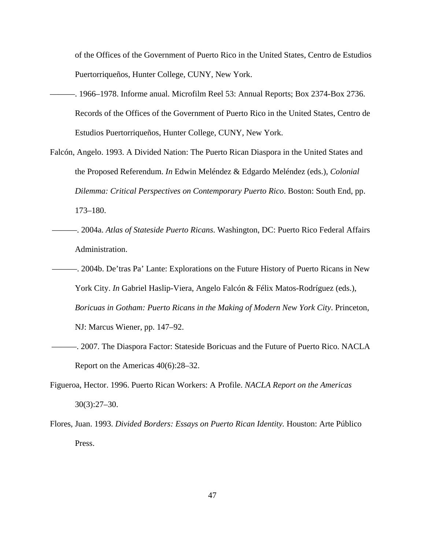of the Offices of the Government of Puerto Rico in the United States, Centro de Estudios Puertorriqueños, Hunter College, CUNY, New York.

- ———. 1966–1978. Informe anual. Microfilm Reel 53: Annual Reports; Box 2374-Box 2736. Records of the Offices of the Government of Puerto Rico in the United States, Centro de Estudios Puertorriqueños, Hunter College, CUNY, New York.
- Falcón, Angelo. 1993. A Divided Nation: The Puerto Rican Diaspora in the United States and the Proposed Referendum. *In* Edwin Meléndez & Edgardo Meléndez (eds.), *Colonial Dilemma: Critical Perspectives on Contemporary Puerto Rico*. Boston: South End, pp. 173–180.
- ———. 2004a. *Atlas of Stateside Puerto Ricans*. Washington, DC: Puerto Rico Federal Affairs Administration.
- ———. 2004b. De'tras Pa' Lante: Explorations on the Future History of Puerto Ricans in New York City. *In* Gabriel Haslip-Viera, Angelo Falcón & Félix Matos-Rodríguez (eds.), *Boricuas in Gotham: Puerto Ricans in the Making of Modern New York City*. Princeton, NJ: Marcus Wiener, pp. 147–92.
- ———. 2007. The Diaspora Factor: Stateside Boricuas and the Future of Puerto Rico. NACLA Report on the Americas 40(6):28–32.
- Figueroa, Hector. 1996. Puerto Rican Workers: A Profile. *NACLA Report on the Americas* 30(3):27–30.
- Flores, Juan. 1993. *Divided Borders: Essays on Puerto Rican Identity.* Houston: Arte Público Press.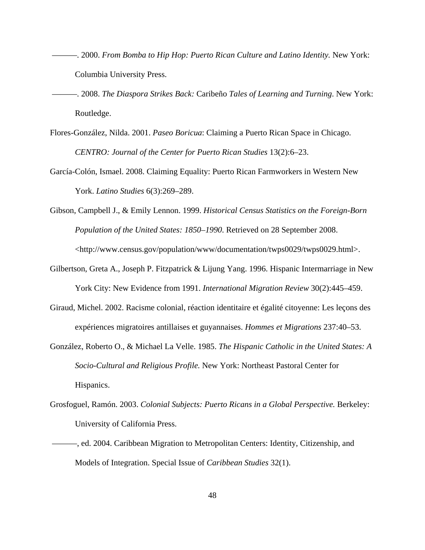- ———. 2000. *From Bomba to Hip Hop: Puerto Rican Culture and Latino Identity.* New York: Columbia University Press.
- ———. 2008. *The Diaspora Strikes Back:* Caribeño *Tales of Learning and Turning*. New York: Routledge.
- Flores-González, Nilda. 2001. *Paseo Boricua*: Claiming a Puerto Rican Space in Chicago. *CENTRO: Journal of the Center for Puerto Rican Studies* 13(2):6–23.
- García-Colón, Ismael. 2008. Claiming Equality: Puerto Rican Farmworkers in Western New York. *Latino Studies* 6(3):269–289.
- Gibson, Campbell J., & Emily Lennon. 1999. *Historical Census Statistics on the Foreign-Born Population of the United States: 1850–1990*. Retrieved on 28 September 2008. <http://www.census.gov/population/www/documentation/twps0029/twps0029.html>.
- Gilbertson, Greta A., Joseph P. Fitzpatrick & Lijung Yang. 1996. Hispanic Intermarriage in New York City: New Evidence from 1991. *International Migration Review* 30(2):445–459.
- Giraud, Michel. 2002. Racisme colonial, réaction identitaire et égalité citoyenne: Les leçons des expériences migratoires antillaises et guyannaises. *Hommes et Migrations* 237:40–53.
- González, Roberto O., & Michael La Velle. 1985. *The Hispanic Catholic in the United States: A Socio-Cultural and Religious Profile.* New York: Northeast Pastoral Center for Hispanics.
- Grosfoguel, Ramón. 2003. *Colonial Subjects: Puerto Ricans in a Global Perspective.* Berkeley: University of California Press.
- ———, ed. 2004. Caribbean Migration to Metropolitan Centers: Identity, Citizenship, and Models of Integration. Special Issue of *Caribbean Studies* 32(1).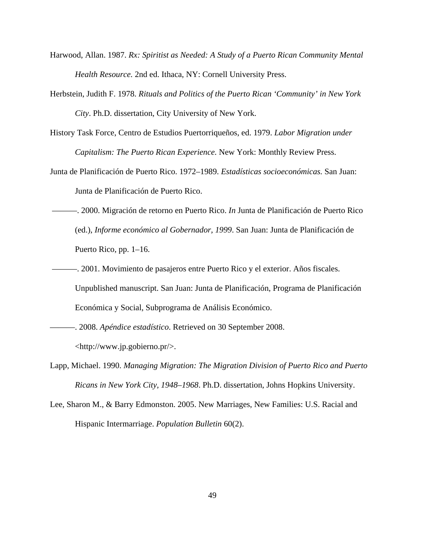- Harwood, Allan. 1987. *Rx: Spiritist as Needed: A Study of a Puerto Rican Community Mental Health Resource.* 2nd ed. Ithaca, NY: Cornell University Press.
- Herbstein, Judith F. 1978. *Rituals and Politics of the Puerto Rican 'Community' in New York City*. Ph.D. dissertation, City University of New York.
- History Task Force, Centro de Estudios Puertorriqueños, ed. 1979. *Labor Migration under Capitalism: The Puerto Rican Experience.* New York: Monthly Review Press.
- Junta de Planificación de Puerto Rico. 1972–1989. *Estadísticas socioeconómicas.* San Juan: Junta de Planificación de Puerto Rico.
- ———. 2000. Migración de retorno en Puerto Rico. *In* Junta de Planificación de Puerto Rico (ed.), *Informe económico al Gobernador, 1999*. San Juan: Junta de Planificación de Puerto Rico, pp. 1–16.
- ———. 2001. Movimiento de pasajeros entre Puerto Rico y el exterior. Años fiscales. Unpublished manuscript. San Juan: Junta de Planificación, Programa de Planificación Económica y Social, Subprograma de Análisis Económico.

———. 2008. *Apéndice estadístico*. Retrieved on 30 September 2008.

<http://www.jp.gobierno.pr/>.

- Lapp, Michael. 1990. *Managing Migration: The Migration Division of Puerto Rico and Puerto Ricans in New York City, 1948–1968*. Ph.D. dissertation, Johns Hopkins University.
- Lee, Sharon M., & Barry Edmonston. 2005. New Marriages, New Families: U.S. Racial and Hispanic Intermarriage. *Population Bulletin* 60(2).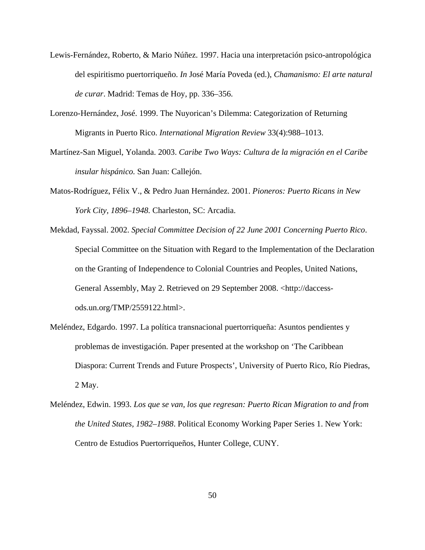- Lewis-Fernández, Roberto, & Mario Núñez. 1997. Hacia una interpretación psico-antropológica del espiritismo puertorriqueño. *In* José María Poveda (ed.), *Chamanismo: El arte natural de curar*. Madrid: Temas de Hoy, pp. 336–356.
- Lorenzo-Hernández, José. 1999. The Nuyorican's Dilemma: Categorization of Returning Migrants in Puerto Rico. *International Migration Review* 33(4):988–1013.
- Martínez-San Miguel, Yolanda. 2003. *Caribe Two Ways: Cultura de la migración en el Caribe insular hispánico.* San Juan: Callejón.
- Matos-Rodríguez, Félix V., & Pedro Juan Hernández. 2001. *Pioneros: Puerto Ricans in New York City, 1896–1948.* Charleston, SC: Arcadia.
- Mekdad, Fayssal. 2002. *Special Committee Decision of 22 June 2001 Concerning Puerto Rico*. Special Committee on the Situation with Regard to the Implementation of the Declaration on the Granting of Independence to Colonial Countries and Peoples, United Nations, General Assembly, May 2. Retrieved on 29 September 2008. <http://daccessods.un.org/TMP/2559122.html>.
- Meléndez, Edgardo. 1997. La política transnacional puertorriqueña: Asuntos pendientes y problemas de investigación. Paper presented at the workshop on 'The Caribbean Diaspora: Current Trends and Future Prospects', University of Puerto Rico, Río Piedras, 2 May.
- Meléndez, Edwin. 1993. *Los que se van, los que regresan: Puerto Rican Migration to and from the United States, 1982–1988*. Political Economy Working Paper Series 1. New York: Centro de Estudios Puertorriqueños, Hunter College, CUNY.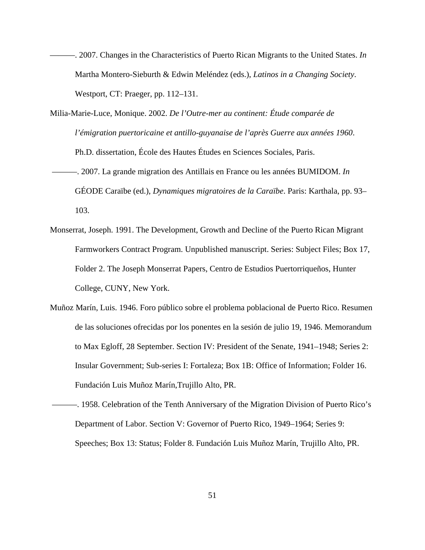- ———. 2007. Changes in the Characteristics of Puerto Rican Migrants to the United States. *In* Martha Montero-Sieburth & Edwin Meléndez (eds.), *Latinos in a Changing Society*. Westport, CT: Praeger, pp. 112–131.
- Milia-Marie-Luce, Monique. 2002. *De l'Outre-mer au continent: Étude comparée de l'émigration puertoricaine et antillo-guyanaise de l'après Guerre aux années 1960*. Ph.D. dissertation, École des Hautes Études en Sciences Sociales, Paris.
- ———. 2007. La grande migration des Antillais en France ou les années BUMIDOM. *In* GÉODE Caraïbe (ed.), *Dynamiques migratoires de la Caraïbe*. Paris: Karthala, pp. 93– 103.
- Monserrat, Joseph. 1991. The Development, Growth and Decline of the Puerto Rican Migrant Farmworkers Contract Program. Unpublished manuscript. Series: Subject Files; Box 17, Folder 2. The Joseph Monserrat Papers, Centro de Estudios Puertorriqueños, Hunter College, CUNY, New York.
- Muñoz Marín, Luis. 1946. Foro público sobre el problema poblacional de Puerto Rico. Resumen de las soluciones ofrecidas por los ponentes en la sesión de julio 19, 1946. Memorandum to Max Egloff, 28 September. Section IV: President of the Senate, 1941–1948; Series 2: Insular Government; Sub-series I: Fortaleza; Box 1B: Office of Information; Folder 16. Fundación Luis Muñoz Marín,Trujillo Alto, PR.
- ———. 1958. Celebration of the Tenth Anniversary of the Migration Division of Puerto Rico's Department of Labor. Section V: Governor of Puerto Rico, 1949–1964; Series 9: Speeches; Box 13: Status; Folder 8. Fundación Luis Muñoz Marín, Trujillo Alto, PR.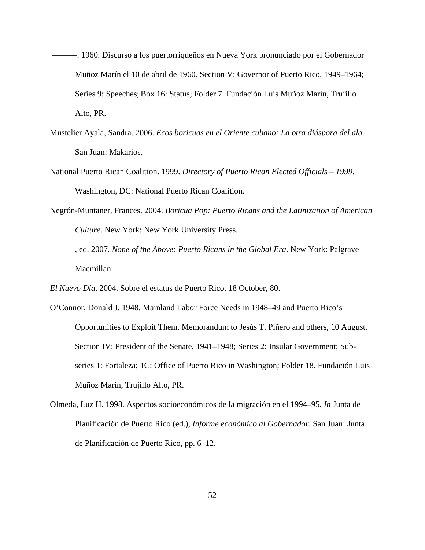- ———. 1960. Discurso a los puertorriqueños en Nueva York pronunciado por el Gobernador Muñoz Marín el 10 de abril de 1960. Section V: Governor of Puerto Rico, 1949–1964; Series 9: Speeches; Box 16: Status; Folder 7. Fundación Luis Muñoz Marín, Trujillo Alto, PR.
- Mustelier Ayala, Sandra. 2006. *Ecos boricuas en el Oriente cubano: La otra diáspora del ala*. San Juan: Makarios.
- National Puerto Rican Coalition. 1999. *Directory of Puerto Rican Elected Officials 1999*. Washington, DC: National Puerto Rican Coalition.
- Negrón-Muntaner, Frances. 2004. *Boricua Pop: Puerto Ricans and the Latinization of American Culture*. New York: New York University Press.
- ———, ed. 2007. *None of the Above: Puerto Ricans in the Global Era*. New York: Palgrave Macmillan.

*El Nuevo Día*. 2004. Sobre el estatus de Puerto Rico. 18 October, 80.

- O'Connor, Donald J. 1948. Mainland Labor Force Needs in 1948–49 and Puerto Rico's Opportunities to Exploit Them. Memorandum to Jesús T. Piñero and others, 10 August. Section IV: President of the Senate, 1941–1948; Series 2: Insular Government; Subseries 1: Fortaleza; 1C: Office of Puerto Rico in Washington; Folder 18. Fundación Luis Muñoz Marín, Trujillo Alto, PR.
- Olmeda, Luz H. 1998. Aspectos socioeconómicos de la migración en el 1994–95. *In* Junta de Planificación de Puerto Rico (ed.), *Informe económico al Gobernador*. San Juan: Junta de Planificación de Puerto Rico, pp. 6–12.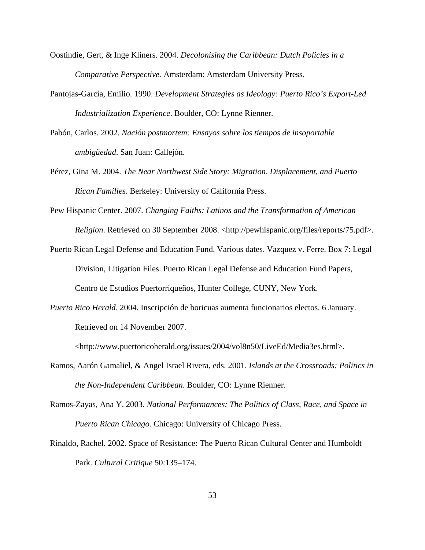- Oostindie, Gert, & Inge Kliners. 2004. *Decolonising the Caribbean: Dutch Policies in a Comparative Perspective.* Amsterdam: Amsterdam University Press.
- Pantojas-García, Emilio. 1990. *Development Strategies as Ideology: Puerto Rico's Export-Led Industrialization Experience*. Boulder, CO: Lynne Rienner.
- Pabón, Carlos. 2002. *Nación postmortem: Ensayos sobre los tiempos de insoportable ambigüedad*. San Juan: Callejón.
- Pérez, Gina M. 2004. *The Near Northwest Side Story: Migration, Displacement, and Puerto Rican Families*. Berkeley: University of California Press.
- Pew Hispanic Center. 2007. *Changing Faiths: Latinos and the Transformation of American Religion*. Retrieved on 30 September 2008. <http://pewhispanic.org/files/reports/75.pdf>.
- Puerto Rican Legal Defense and Education Fund. Various dates. Vazquez v. Ferre. Box 7: Legal Division, Litigation Files. Puerto Rican Legal Defense and Education Fund Papers, Centro de Estudios Puertorriqueños, Hunter College, CUNY, New York.
- *Puerto Rico Herald*. 2004. Inscripción de boricuas aumenta funcionarios electos. 6 January. Retrieved on 14 November 2007.

<http://www.puertoricoherald.org/issues/2004/vol8n50/LiveEd/Media3es.html>.

- Ramos, Aarón Gamaliel, & Angel Israel Rivera, eds. 2001. *Islands at the Crossroads: Politics in the Non-Independent Caribbean*. Boulder, CO: Lynne Rienner.
- Ramos-Zayas, Ana Y. 2003. *National Performances: The Politics of Class, Race, and Space in Puerto Rican Chicago.* Chicago: University of Chicago Press.
- Rinaldo, Rachel. 2002. Space of Resistance: The Puerto Rican Cultural Center and Humboldt Park. *Cultural Critique* 50:135–174.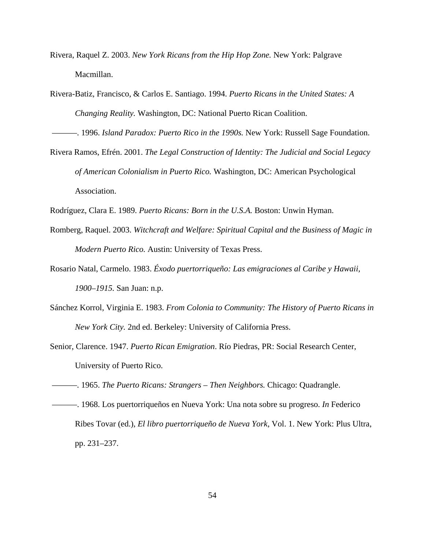- Rivera, Raquel Z. 2003. *New York Ricans from the Hip Hop Zone.* New York: Palgrave Macmillan.
- Rivera-Batiz, Francisco, & Carlos E. Santiago. 1994. *Puerto Ricans in the United States: A Changing Reality.* Washington, DC: National Puerto Rican Coalition.

———. 1996. *Island Paradox: Puerto Rico in the 1990s.* New York: Russell Sage Foundation.

Rivera Ramos, Efrén. 2001. *The Legal Construction of Identity: The Judicial and Social Legacy of American Colonialism in Puerto Rico.* Washington, DC: American Psychological Association.

Rodríguez, Clara E. 1989. *Puerto Ricans: Born in the U.S.A.* Boston: Unwin Hyman.

- Romberg, Raquel. 2003. *Witchcraft and Welfare: Spiritual Capital and the Business of Magic in Modern Puerto Rico.* Austin: University of Texas Press.
- Rosario Natal, Carmelo. 1983. *Éxodo puertorriqueño: Las emigraciones al Caribe y Hawaii, 1900–1915.* San Juan: n.p.
- Sánchez Korrol, Virginia E. 1983. *From Colonia to Community: The History of Puerto Ricans in New York City.* 2nd ed. Berkeley: University of California Press.
- Senior, Clarence. 1947. *Puerto Rican Emigration*. Río Piedras, PR: Social Research Center, University of Puerto Rico.
- ———. 1965. *The Puerto Ricans: Strangers Then Neighbors.* Chicago: Quadrangle.
- ———. 1968. Los puertorriqueños en Nueva York: Una nota sobre su progreso. *In* Federico Ribes Tovar (ed.), *El libro puertorriqueño de Nueva York*, Vol. 1. New York: Plus Ultra, pp. 231–237.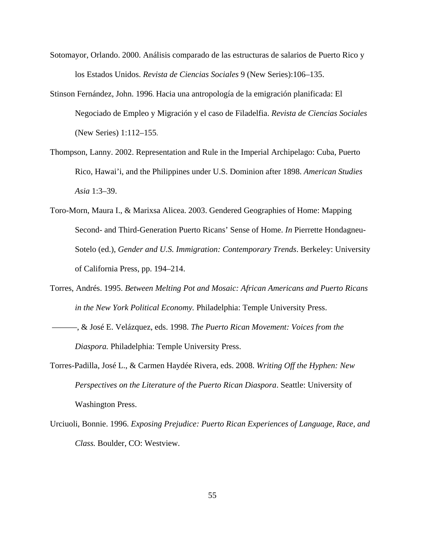- Sotomayor, Orlando. 2000. Análisis comparado de las estructuras de salarios de Puerto Rico y los Estados Unidos. *Revista de Ciencias Sociales* 9 (New Series):106–135.
- Stinson Fernández, John. 1996. Hacia una antropología de la emigración planificada: El Negociado de Empleo y Migración y el caso de Filadelfia. *Revista de Ciencias Sociales* (New Series) 1:112–155.
- Thompson, Lanny. 2002. Representation and Rule in the Imperial Archipelago: Cuba, Puerto Rico, Hawai'i, and the Philippines under U.S. Dominion after 1898. *American Studies Asia* 1:3–39.
- Toro-Morn, Maura I., & Marixsa Alicea. 2003. Gendered Geographies of Home: Mapping Second- and Third-Generation Puerto Ricans' Sense of Home. *In* Pierrette Hondagneu-Sotelo (ed.), *Gender and U.S. Immigration: Contemporary Trends*. Berkeley: University of California Press, pp. 194–214.
- Torres, Andrés. 1995. *Between Melting Pot and Mosaic: African Americans and Puerto Ricans in the New York Political Economy.* Philadelphia: Temple University Press.
- ———, & José E. Velázquez, eds. 1998. *The Puerto Rican Movement: Voices from the Diaspora.* Philadelphia: Temple University Press.
- Torres-Padilla, José L., & Carmen Haydée Rivera, eds. 2008. *Writing Off the Hyphen: New Perspectives on the Literature of the Puerto Rican Diaspora*. Seattle: University of Washington Press.
- Urciuoli, Bonnie. 1996. *Exposing Prejudice: Puerto Rican Experiences of Language, Race, and Class.* Boulder, CO: Westview.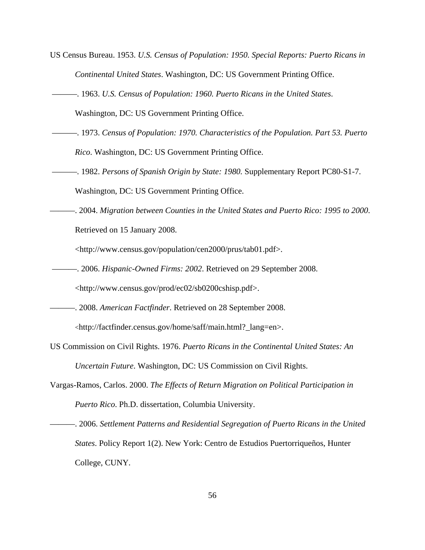- US Census Bureau. 1953. *U.S. Census of Population: 1950. Special Reports: Puerto Ricans in Continental United States*. Washington, DC: US Government Printing Office.
- ———. 1963. *U.S. Census of Population: 1960. Puerto Ricans in the United States*.

Washington, DC: US Government Printing Office.

- ———. 1973. *Census of Population: 1970. Characteristics of the Population. Part 53. Puerto Rico*. Washington, DC: US Government Printing Office.
- ———. 1982. *Persons of Spanish Origin by State: 1980.* Supplementary Report PC80-S1-7. Washington, DC: US Government Printing Office.
- ———. 2004. *Migration between Counties in the United States and Puerto Rico: 1995 to 2000*. Retrieved on 15 January 2008.

<http://www.census.gov/population/cen2000/prus/tab01.pdf>.

- ———. 2006. *Hispanic-Owned Firms: 2002*. Retrieved on 29 September 2008. <http://www.census.gov/prod/ec02/sb0200cshisp.pdf>.
- ———. 2008. *American Factfinder*. Retrieved on 28 September 2008. <http://factfinder.census.gov/home/saff/main.html?\_lang=en>.
- US Commission on Civil Rights. 1976. *Puerto Ricans in the Continental United States: An Uncertain Future*. Washington, DC: US Commission on Civil Rights.
- Vargas-Ramos, Carlos. 2000. *The Effects of Return Migration on Political Participation in Puerto Rico*. Ph.D. dissertation, Columbia University.

———. 2006. *Settlement Patterns and Residential Segregation of Puerto Ricans in the United States*. Policy Report 1(2). New York: Centro de Estudios Puertorriqueños, Hunter College, CUNY.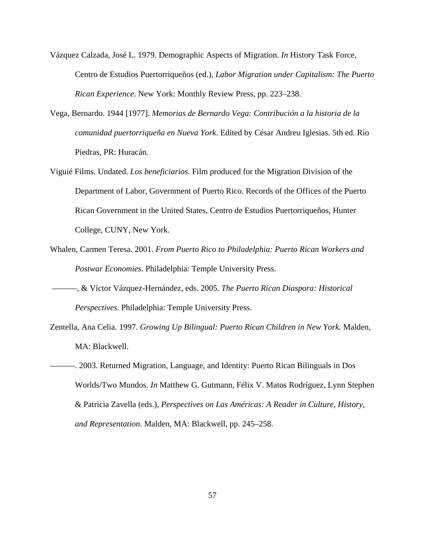- Vázquez Calzada, José L. 1979. Demographic Aspects of Migration. *In* History Task Force, Centro de Estudios Puertorriqueños (ed.), *Labor Migration under Capitalism: The Puerto Rican Experience*. New York: Monthly Review Press, pp. 223–238.
- Vega, Bernardo. 1944 [1977]. *Memorias de Bernardo Vega: Contribución a la historia de la comunidad puertorriqueña en Nueva York*. Edited by César Andreu Iglesias. 5th ed. Río Piedras, PR: Huracán.
- Viguié Films. Undated. *Los beneficiarios*. Film produced for the Migration Division of the Department of Labor, Government of Puerto Rico. Records of the Offices of the Puerto Rican Government in the United States, Centro de Estudios Puertorriqueños, Hunter College, CUNY, New York.
- Whalen, Carmen Teresa. 2001. *From Puerto Rico to Philadelphia: Puerto Rican Workers and Postwar Economies.* Philadelphia: Temple University Press.
- ———, & Víctor Vázquez-Hernández, eds. 2005. *The Puerto Rican Diaspora: Historical Perspectives*. Philadelphia: Temple University Press.
- Zentella, Ana Celia. 1997. *Growing Up Bilingual: Puerto Rican Children in New York.* Malden, MA: Blackwell.
- ———. 2003. Returned Migration, Language, and Identity: Puerto Rican Bilinguals in Dos Worlds/Two Mundos. *In* Matthew G. Gutmann, Félix V. Matos Rodríguez, Lynn Stephen & Patricia Zavella (eds.), *Perspectives on Las Américas: A Reader in Culture, History, and Representation*. Malden, MA: Blackwell, pp. 245–258.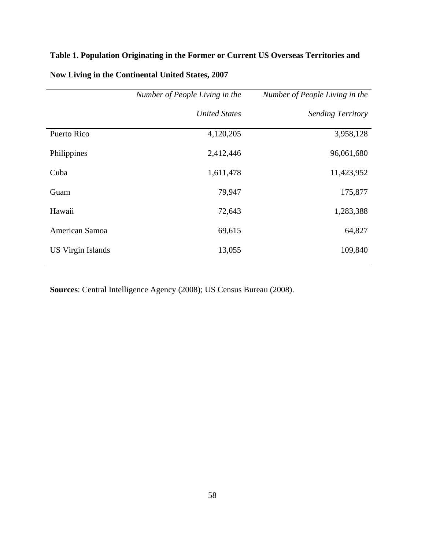### **Table 1. Population Originating in the Former or Current US Overseas Territories and**

|                          | Number of People Living in the | Number of People Living in the |  |  |
|--------------------------|--------------------------------|--------------------------------|--|--|
|                          | <b>United States</b>           | <b>Sending Territory</b>       |  |  |
| Puerto Rico              | 4,120,205                      | 3,958,128                      |  |  |
| Philippines              | 2,412,446                      | 96,061,680                     |  |  |
| Cuba                     | 1,611,478                      | 11,423,952                     |  |  |
| Guam                     | 79,947                         | 175,877                        |  |  |
| Hawaii                   | 72,643                         | 1,283,388                      |  |  |
| American Samoa           | 69,615                         | 64,827                         |  |  |
| <b>US Virgin Islands</b> | 13,055                         | 109,840                        |  |  |

## **Now Living in the Continental United States, 2007**

**Sources**: Central Intelligence Agency (2008); US Census Bureau (2008).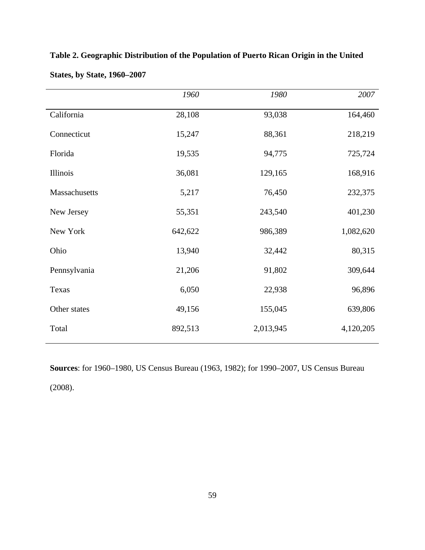|               | 1960    | 1980      | 2007      |
|---------------|---------|-----------|-----------|
| California    | 28,108  | 93,038    | 164,460   |
| Connecticut   | 15,247  | 88,361    | 218,219   |
| Florida       | 19,535  | 94,775    | 725,724   |
| Illinois      | 36,081  | 129,165   | 168,916   |
| Massachusetts | 5,217   | 76,450    | 232,375   |
| New Jersey    | 55,351  | 243,540   | 401,230   |
| New York      | 642,622 | 986,389   | 1,082,620 |
| Ohio          | 13,940  | 32,442    | 80,315    |
| Pennsylvania  | 21,206  | 91,802    | 309,644   |
| Texas         | 6,050   | 22,938    | 96,896    |
| Other states  | 49,156  | 155,045   | 639,806   |
| Total         | 892,513 | 2,013,945 | 4,120,205 |

**Table 2. Geographic Distribution of the Population of Puerto Rican Origin in the United** 

**Sources**: for 1960–1980, US Census Bureau (1963, 1982); for 1990–2007, US Census Bureau (2008).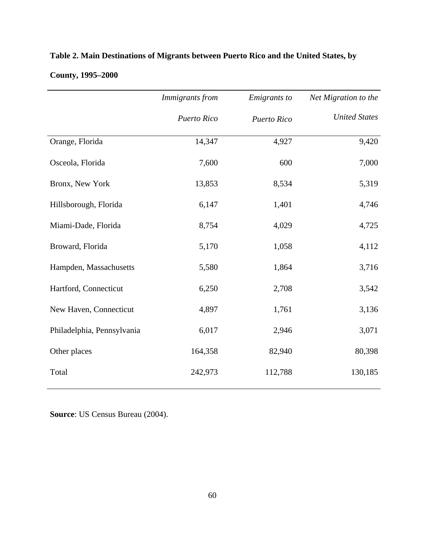|                            | Immigrants from<br>Emigrants to |             | Net Migration to the |  |
|----------------------------|---------------------------------|-------------|----------------------|--|
|                            | Puerto Rico                     | Puerto Rico | <b>United States</b> |  |
| Orange, Florida            | 14,347                          | 4,927       | 9,420                |  |
| Osceola, Florida           | 7,600                           | 600         | 7,000                |  |
| Bronx, New York            | 13,853                          | 8,534       | 5,319                |  |
| Hillsborough, Florida      | 6,147                           | 1,401       | 4,746                |  |
| Miami-Dade, Florida        | 8,754                           | 4,029       | 4,725                |  |
| Broward, Florida           | 5,170                           | 1,058       | 4,112                |  |
| Hampden, Massachusetts     | 5,580                           | 1,864       | 3,716                |  |
| Hartford, Connecticut      | 6,250                           | 2,708       | 3,542                |  |
| New Haven, Connecticut     | 4,897                           | 1,761       | 3,136                |  |
| Philadelphia, Pennsylvania | 6,017                           | 2,946       | 3,071                |  |
| Other places               | 164,358                         | 82,940      | 80,398               |  |
| Total                      | 242,973                         | 112,788     | 130,185              |  |

## **Table 2. Main Destinations of Migrants between Puerto Rico and the United States, by**

## **County, 1995–2000**

**Source**: US Census Bureau (2004).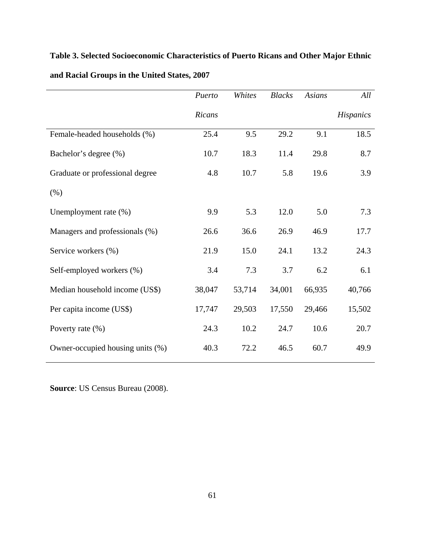| Table 3. Selected Socioeconomic Characteristics of Puerto Ricans and Other Major Ethnic |  |
|-----------------------------------------------------------------------------------------|--|
| and Racial Groups in the United States, 2007                                            |  |

|                                  | Puerto | Whites | <b>Blacks</b> | <b>Asians</b> | All       |
|----------------------------------|--------|--------|---------------|---------------|-----------|
|                                  | Ricans |        |               |               | Hispanics |
| Female-headed households (%)     | 25.4   | 9.5    | 29.2          | 9.1           | 18.5      |
| Bachelor's degree (%)            | 10.7   | 18.3   | 11.4          | 29.8          | 8.7       |
| Graduate or professional degree  | 4.8    | 10.7   | 5.8           | 19.6          | 3.9       |
| $(\%)$                           |        |        |               |               |           |
| Unemployment rate (%)            | 9.9    | 5.3    | 12.0          | 5.0           | 7.3       |
| Managers and professionals (%)   | 26.6   | 36.6   | 26.9          | 46.9          | 17.7      |
| Service workers (%)              | 21.9   | 15.0   | 24.1          | 13.2          | 24.3      |
| Self-employed workers (%)        | 3.4    | 7.3    | 3.7           | 6.2           | 6.1       |
| Median household income (US\$)   | 38,047 | 53,714 | 34,001        | 66,935        | 40,766    |
| Per capita income (US\$)         | 17,747 | 29,503 | 17,550        | 29,466        | 15,502    |
| Poverty rate (%)                 | 24.3   | 10.2   | 24.7          | 10.6          | 20.7      |
| Owner-occupied housing units (%) | 40.3   | 72.2   | 46.5          | 60.7          | 49.9      |

**Source**: US Census Bureau (2008).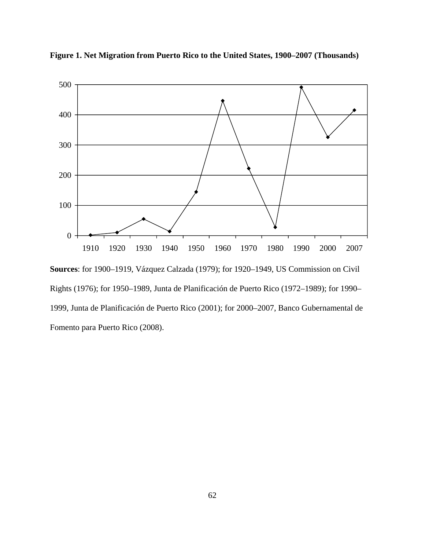

**Figure 1. Net Migration from Puerto Rico to the United States, 1900–2007 (Thousands)** 

**Sources**: for 1900–1919, Vázquez Calzada (1979); for 1920–1949, US Commission on Civil Rights (1976); for 1950–1989, Junta de Planificación de Puerto Rico (1972–1989); for 1990– 1999, Junta de Planificación de Puerto Rico (2001); for 2000–2007, Banco Gubernamental de Fomento para Puerto Rico (2008).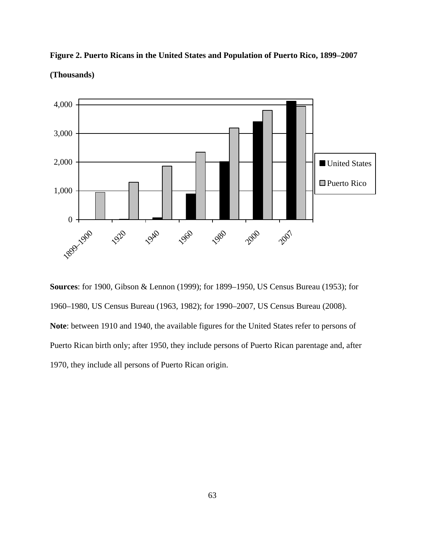

**Figure 2. Puerto Ricans in the United States and Population of Puerto Rico, 1899–2007** 

#### **(Thousands)**

**Sources**: for 1900, Gibson & Lennon (1999); for 1899–1950, US Census Bureau (1953); for 1960–1980, US Census Bureau (1963, 1982); for 1990–2007, US Census Bureau (2008). **Note**: between 1910 and 1940, the available figures for the United States refer to persons of Puerto Rican birth only; after 1950, they include persons of Puerto Rican parentage and, after 1970, they include all persons of Puerto Rican origin.